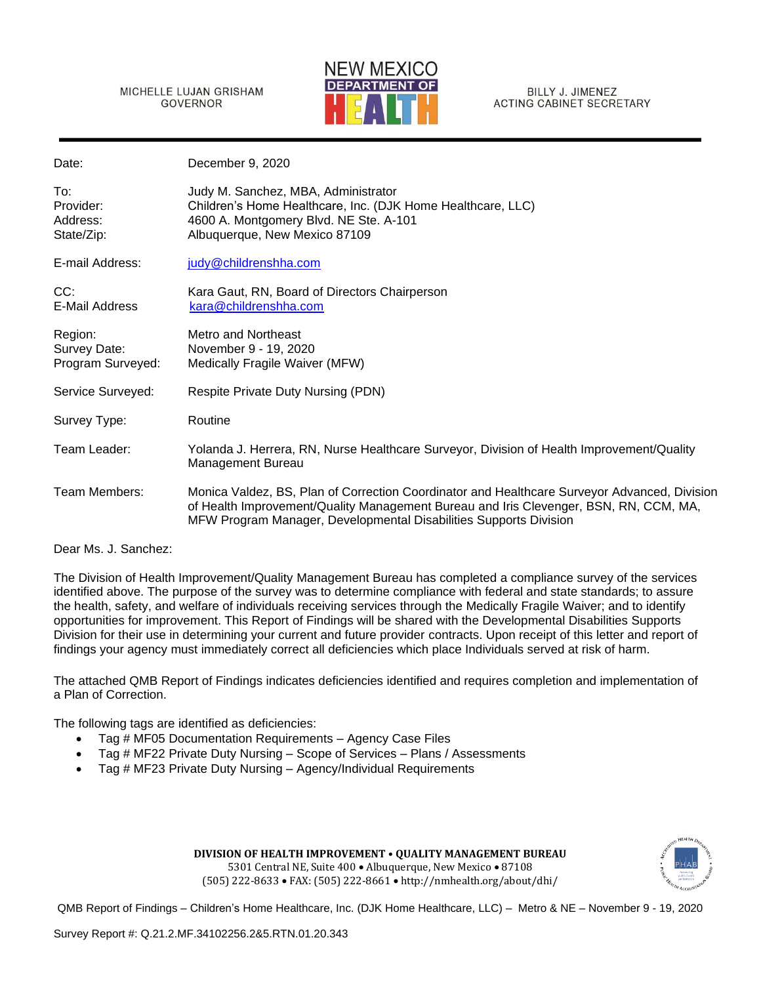MICHELLE LUJAN GRISHAM **GOVERNOR** 



BILLY J. JIMENEZ **ACTING CABINET SECRETARY** 

| Date:                                        | December 9, 2020                                                                                                                                                                                                                                           |
|----------------------------------------------|------------------------------------------------------------------------------------------------------------------------------------------------------------------------------------------------------------------------------------------------------------|
| To:<br>Provider:<br>Address:<br>State/Zip:   | Judy M. Sanchez, MBA, Administrator<br>Children's Home Healthcare, Inc. (DJK Home Healthcare, LLC)<br>4600 A. Montgomery Blvd. NE Ste. A-101<br>Albuquerque, New Mexico 87109                                                                              |
| E-mail Address:                              | judy@childrenshha.com                                                                                                                                                                                                                                      |
| CC:<br><b>E-Mail Address</b>                 | Kara Gaut, RN, Board of Directors Chairperson<br>kara@childrenshha.com                                                                                                                                                                                     |
| Region:<br>Survey Date:<br>Program Surveyed: | Metro and Northeast<br>November 9 - 19, 2020<br>Medically Fragile Waiver (MFW)                                                                                                                                                                             |
| Service Surveyed:                            | Respite Private Duty Nursing (PDN)                                                                                                                                                                                                                         |
| Survey Type:                                 | Routine                                                                                                                                                                                                                                                    |
| Team Leader:                                 | Yolanda J. Herrera, RN, Nurse Healthcare Surveyor, Division of Health Improvement/Quality<br><b>Management Bureau</b>                                                                                                                                      |
| Team Members:                                | Monica Valdez, BS, Plan of Correction Coordinator and Healthcare Surveyor Advanced, Division<br>of Health Improvement/Quality Management Bureau and Iris Clevenger, BSN, RN, CCM, MA,<br>MFW Program Manager, Developmental Disabilities Supports Division |

Dear Ms. J. Sanchez:

The Division of Health Improvement/Quality Management Bureau has completed a compliance survey of the services identified above. The purpose of the survey was to determine compliance with federal and state standards; to assure the health, safety, and welfare of individuals receiving services through the Medically Fragile Waiver; and to identify opportunities for improvement. This Report of Findings will be shared with the Developmental Disabilities Supports Division for their use in determining your current and future provider contracts. Upon receipt of this letter and report of findings your agency must immediately correct all deficiencies which place Individuals served at risk of harm.

The attached QMB Report of Findings indicates deficiencies identified and requires completion and implementation of a Plan of Correction.

The following tags are identified as deficiencies:

- Tag # MF05 Documentation Requirements Agency Case Files
- Tag # MF22 Private Duty Nursing Scope of Services Plans / Assessments
- Tag # MF23 Private Duty Nursing Agency/Individual Requirements

**DIVISION OF HEALTH IMPROVEMENT • QUALITY MANAGEMENT BUREAU**  5301 Central NE, Suite 400 • Albuquerque, New Mexico • 87108 (505) 222-8633 • FAX: (505) 222-8661 • http://nmhealth.org/about/dhi/

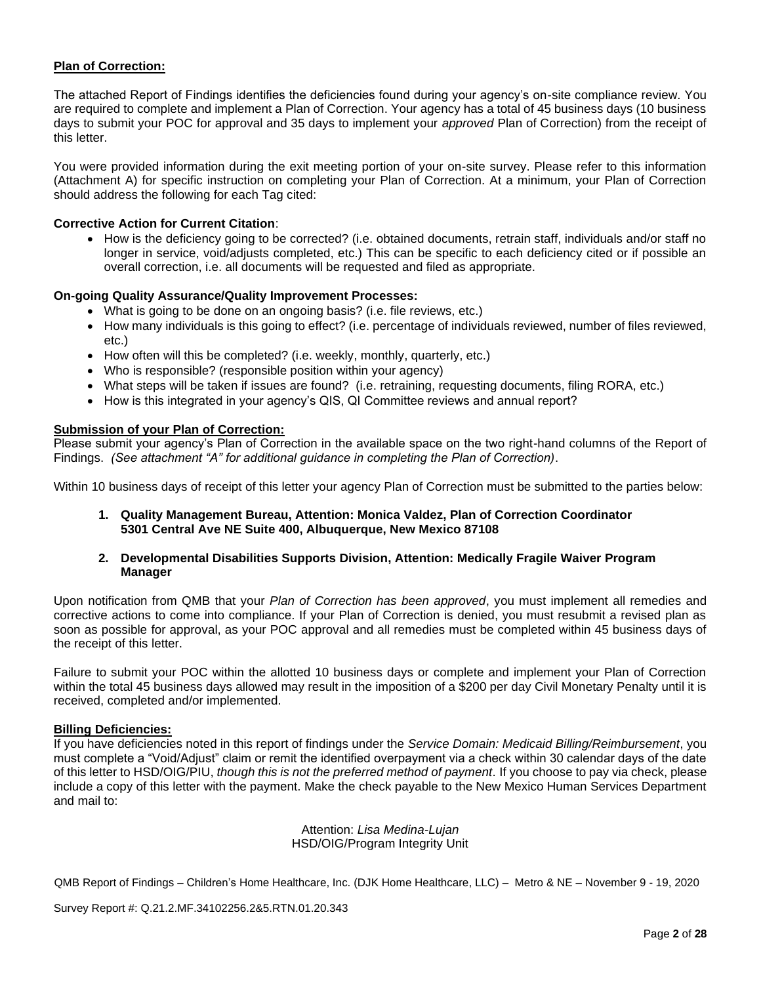## **Plan of Correction:**

The attached Report of Findings identifies the deficiencies found during your agency's on-site compliance review. You are required to complete and implement a Plan of Correction. Your agency has a total of 45 business days (10 business days to submit your POC for approval and 35 days to implement your *approved* Plan of Correction) from the receipt of this letter.

You were provided information during the exit meeting portion of your on-site survey. Please refer to this information (Attachment A) for specific instruction on completing your Plan of Correction. At a minimum, your Plan of Correction should address the following for each Tag cited:

### **Corrective Action for Current Citation**:

• How is the deficiency going to be corrected? (i.e. obtained documents, retrain staff, individuals and/or staff no longer in service, void/adjusts completed, etc.) This can be specific to each deficiency cited or if possible an overall correction, i.e. all documents will be requested and filed as appropriate.

### **On-going Quality Assurance/Quality Improvement Processes:**

- What is going to be done on an ongoing basis? (i.e. file reviews, etc.)
- How many individuals is this going to effect? (i.e. percentage of individuals reviewed, number of files reviewed, etc.)
- How often will this be completed? (i.e. weekly, monthly, quarterly, etc.)
- Who is responsible? (responsible position within your agency)
- What steps will be taken if issues are found? (i.e. retraining, requesting documents, filing RORA, etc.)
- How is this integrated in your agency's QIS, QI Committee reviews and annual report?

### **Submission of your Plan of Correction:**

Please submit your agency's Plan of Correction in the available space on the two right-hand columns of the Report of Findings. *(See attachment "A" for additional guidance in completing the Plan of Correction)*.

Within 10 business days of receipt of this letter your agency Plan of Correction must be submitted to the parties below:

- **1. Quality Management Bureau, Attention: Monica Valdez, Plan of Correction Coordinator 5301 Central Ave NE Suite 400, Albuquerque, New Mexico 87108**
- **2. Developmental Disabilities Supports Division, Attention: Medically Fragile Waiver Program Manager**

Upon notification from QMB that your *Plan of Correction has been approved*, you must implement all remedies and corrective actions to come into compliance. If your Plan of Correction is denied, you must resubmit a revised plan as soon as possible for approval, as your POC approval and all remedies must be completed within 45 business days of the receipt of this letter.

Failure to submit your POC within the allotted 10 business days or complete and implement your Plan of Correction within the total 45 business days allowed may result in the imposition of a \$200 per day Civil Monetary Penalty until it is received, completed and/or implemented.

### **Billing Deficiencies:**

If you have deficiencies noted in this report of findings under the *Service Domain: Medicaid Billing/Reimbursement*, you must complete a "Void/Adjust" claim or remit the identified overpayment via a check within 30 calendar days of the date of this letter to HSD/OIG/PIU, *though this is not the preferred method of payment*. If you choose to pay via check, please include a copy of this letter with the payment. Make the check payable to the New Mexico Human Services Department and mail to:

> Attention: *Lisa Medina-Lujan* HSD/OIG/Program Integrity Unit

QMB Report of Findings – Children's Home Healthcare, Inc. (DJK Home Healthcare, LLC) – Metro & NE – November 9 - 19, 2020

Survey Report #: Q.21.2.MF.34102256.2&5.RTN.01.20.343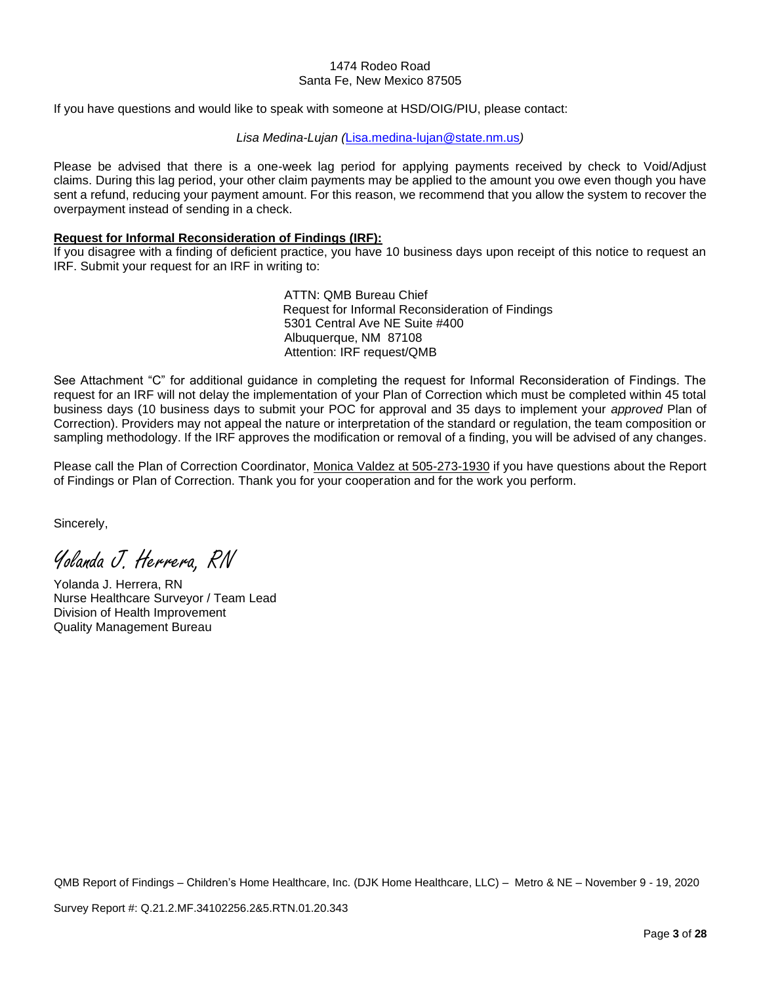#### 1474 Rodeo Road Santa Fe, New Mexico 87505

If you have questions and would like to speak with someone at HSD/OIG/PIU, please contact:

### *Lisa Medina-Lujan (*[Lisa.medina-lujan@state.nm.us](mailto:Lisa.medina-lujan@state.nm.us)*)*

Please be advised that there is a one-week lag period for applying payments received by check to Void/Adjust claims. During this lag period, your other claim payments may be applied to the amount you owe even though you have sent a refund, reducing your payment amount. For this reason, we recommend that you allow the system to recover the overpayment instead of sending in a check.

### **Request for Informal Reconsideration of Findings (IRF):**

If you disagree with a finding of deficient practice, you have 10 business days upon receipt of this notice to request an IRF. Submit your request for an IRF in writing to:

> ATTN: QMB Bureau Chief Request for Informal Reconsideration of Findings 5301 Central Ave NE Suite #400 Albuquerque, NM 87108 Attention: IRF request/QMB

See Attachment "C" for additional guidance in completing the request for Informal Reconsideration of Findings. The request for an IRF will not delay the implementation of your Plan of Correction which must be completed within 45 total business days (10 business days to submit your POC for approval and 35 days to implement your *approved* Plan of Correction). Providers may not appeal the nature or interpretation of the standard or regulation, the team composition or sampling methodology. If the IRF approves the modification or removal of a finding, you will be advised of any changes.

Please call the Plan of Correction Coordinator, Monica Valdez at 505-273-1930 if you have questions about the Report of Findings or Plan of Correction. Thank you for your cooperation and for the work you perform.

Sincerely,

Yolanda J. Herrera, RN

Yolanda J. Herrera, RN Nurse Healthcare Surveyor / Team Lead Division of Health Improvement Quality Management Bureau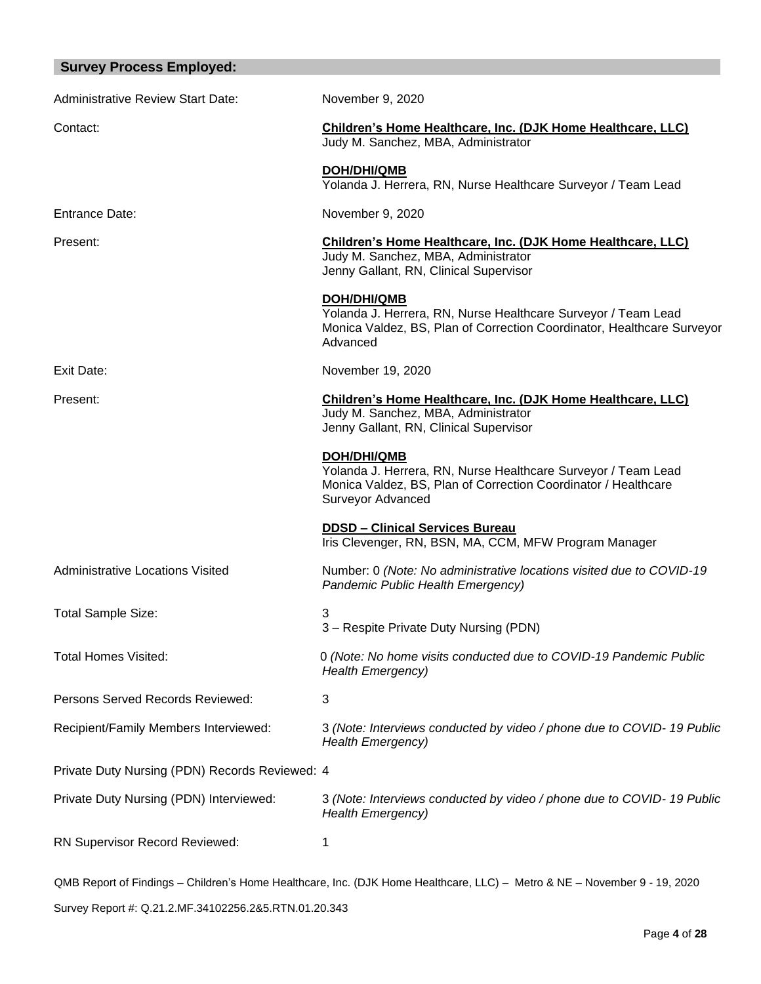| <b>Survey Process Employed:</b>                |                                                                                                                                                                            |
|------------------------------------------------|----------------------------------------------------------------------------------------------------------------------------------------------------------------------------|
| <b>Administrative Review Start Date:</b>       | November 9, 2020                                                                                                                                                           |
| Contact:                                       | Children's Home Healthcare, Inc. (DJK Home Healthcare, LLC)<br>Judy M. Sanchez, MBA, Administrator                                                                         |
|                                                | <b>DOH/DHI/QMB</b><br>Yolanda J. Herrera, RN, Nurse Healthcare Surveyor / Team Lead                                                                                        |
| <b>Entrance Date:</b>                          | November 9, 2020                                                                                                                                                           |
| Present:                                       | Children's Home Healthcare, Inc. (DJK Home Healthcare, LLC)<br>Judy M. Sanchez, MBA, Administrator<br>Jenny Gallant, RN, Clinical Supervisor                               |
|                                                | DOH/DHI/QMB<br>Yolanda J. Herrera, RN, Nurse Healthcare Surveyor / Team Lead<br>Monica Valdez, BS, Plan of Correction Coordinator, Healthcare Surveyor<br>Advanced         |
| Exit Date:                                     | November 19, 2020                                                                                                                                                          |
| Present:                                       | Children's Home Healthcare, Inc. (DJK Home Healthcare, LLC)<br>Judy M. Sanchez, MBA, Administrator<br>Jenny Gallant, RN, Clinical Supervisor                               |
|                                                | <b>DOH/DHI/QMB</b><br>Yolanda J. Herrera, RN, Nurse Healthcare Surveyor / Team Lead<br>Monica Valdez, BS, Plan of Correction Coordinator / Healthcare<br>Surveyor Advanced |
|                                                | <b>DDSD - Clinical Services Bureau</b><br>Iris Clevenger, RN, BSN, MA, CCM, MFW Program Manager                                                                            |
| <b>Administrative Locations Visited</b>        | Number: 0 (Note: No administrative locations visited due to COVID-19<br>Pandemic Public Health Emergency)                                                                  |
| <b>Total Sample Size:</b>                      | 3<br>3 - Respite Private Duty Nursing (PDN)                                                                                                                                |
| <b>Total Homes Visited:</b>                    | 0 (Note: No home visits conducted due to COVID-19 Pandemic Public<br><b>Health Emergency)</b>                                                                              |
| Persons Served Records Reviewed:               | 3                                                                                                                                                                          |
| Recipient/Family Members Interviewed:          | 3 (Note: Interviews conducted by video / phone due to COVID-19 Public<br><b>Health Emergency)</b>                                                                          |
| Private Duty Nursing (PDN) Records Reviewed: 4 |                                                                                                                                                                            |
| Private Duty Nursing (PDN) Interviewed:        | 3 (Note: Interviews conducted by video / phone due to COVID-19 Public<br><b>Health Emergency)</b>                                                                          |
| RN Supervisor Record Reviewed:                 | 1                                                                                                                                                                          |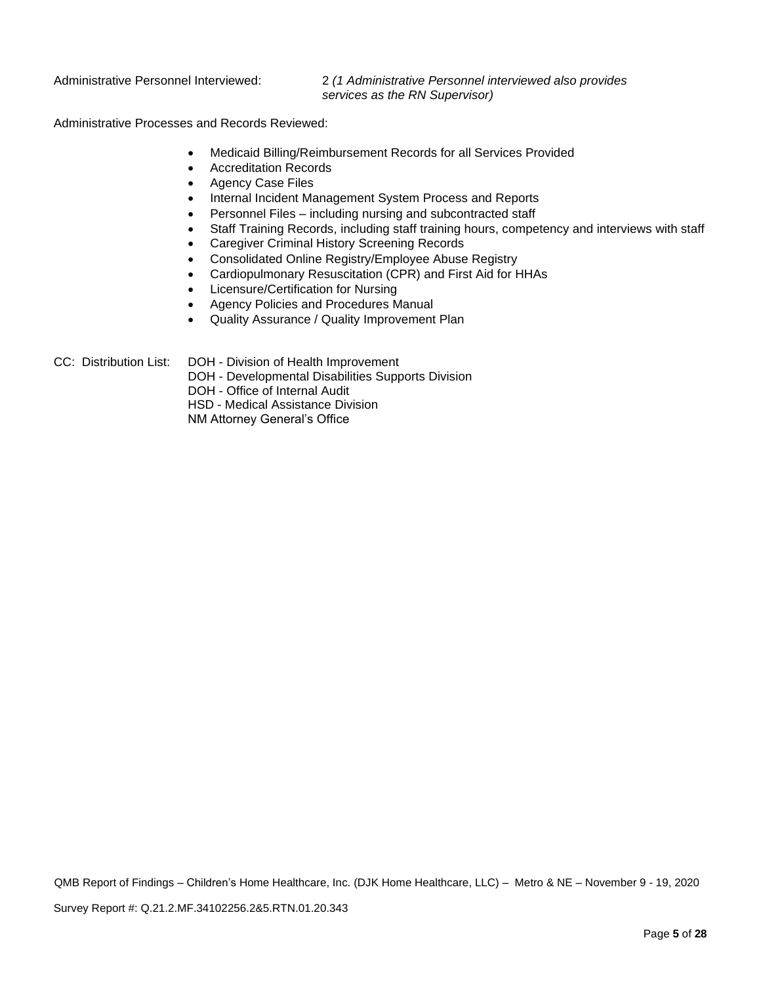Administrative Personnel Interviewed: 2 *(1 Administrative Personnel interviewed also provides services as the RN Supervisor)*

Administrative Processes and Records Reviewed:

- Medicaid Billing/Reimbursement Records for all Services Provided
- Accreditation Records
- Agency Case Files
- Internal Incident Management System Process and Reports
- Personnel Files including nursing and subcontracted staff
- Staff Training Records, including staff training hours, competency and interviews with staff
- Caregiver Criminal History Screening Records
- Consolidated Online Registry/Employee Abuse Registry
- Cardiopulmonary Resuscitation (CPR) and First Aid for HHAs
- Licensure/Certification for Nursing
- Agency Policies and Procedures Manual
- Quality Assurance / Quality Improvement Plan

CC: Distribution List: DOH - Division of Health Improvement

DOH - Developmental Disabilities Supports Division

DOH - Office of Internal Audit

HSD - Medical Assistance Division

NM Attorney General's Office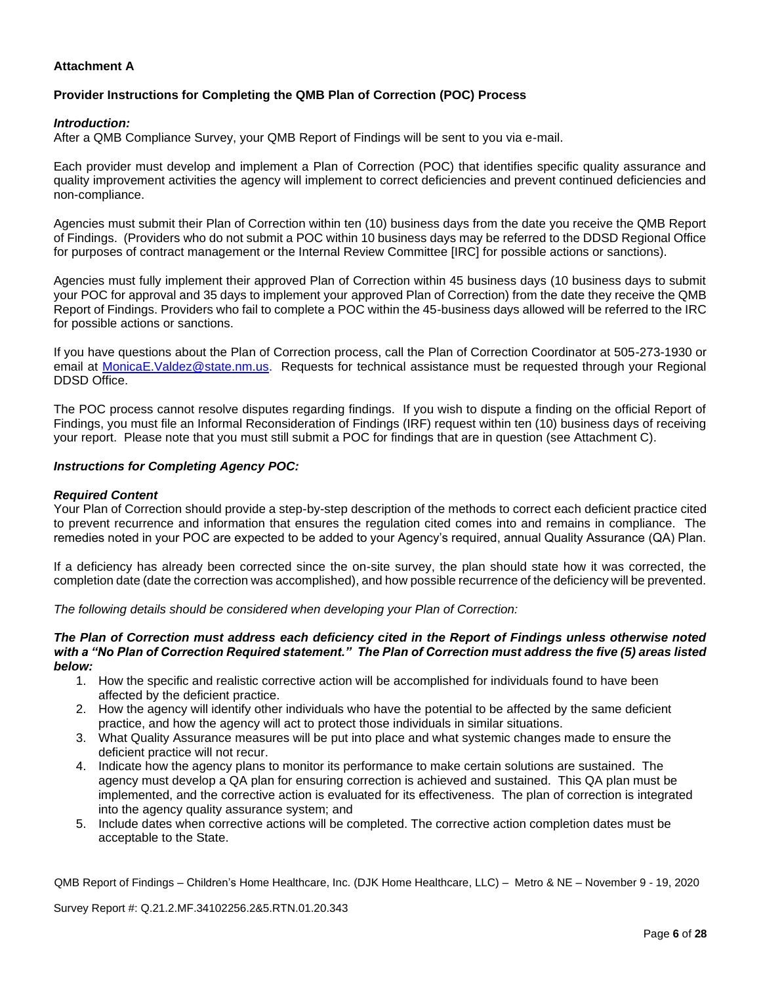### **Attachment A**

### **Provider Instructions for Completing the QMB Plan of Correction (POC) Process**

### *Introduction:*

After a QMB Compliance Survey, your QMB Report of Findings will be sent to you via e-mail.

Each provider must develop and implement a Plan of Correction (POC) that identifies specific quality assurance and quality improvement activities the agency will implement to correct deficiencies and prevent continued deficiencies and non-compliance.

Agencies must submit their Plan of Correction within ten (10) business days from the date you receive the QMB Report of Findings. (Providers who do not submit a POC within 10 business days may be referred to the DDSD Regional Office for purposes of contract management or the Internal Review Committee [IRC] for possible actions or sanctions).

Agencies must fully implement their approved Plan of Correction within 45 business days (10 business days to submit your POC for approval and 35 days to implement your approved Plan of Correction) from the date they receive the QMB Report of Findings. Providers who fail to complete a POC within the 45-business days allowed will be referred to the IRC for possible actions or sanctions.

If you have questions about the Plan of Correction process, call the Plan of Correction Coordinator at 505-273-1930 or email at [MonicaE.Valdez@state.nm.us.](mailto:MonicaE.Valdez@state.nm.us) Requests for technical assistance must be requested through your Regional DDSD Office.

The POC process cannot resolve disputes regarding findings. If you wish to dispute a finding on the official Report of Findings, you must file an Informal Reconsideration of Findings (IRF) request within ten (10) business days of receiving your report. Please note that you must still submit a POC for findings that are in question (see Attachment C).

#### *Instructions for Completing Agency POC:*

#### *Required Content*

Your Plan of Correction should provide a step-by-step description of the methods to correct each deficient practice cited to prevent recurrence and information that ensures the regulation cited comes into and remains in compliance. The remedies noted in your POC are expected to be added to your Agency's required, annual Quality Assurance (QA) Plan.

If a deficiency has already been corrected since the on-site survey, the plan should state how it was corrected, the completion date (date the correction was accomplished), and how possible recurrence of the deficiency will be prevented.

*The following details should be considered when developing your Plan of Correction:*

#### *The Plan of Correction must address each deficiency cited in the Report of Findings unless otherwise noted with a "No Plan of Correction Required statement." The Plan of Correction must address the five (5) areas listed below:*

- 1. How the specific and realistic corrective action will be accomplished for individuals found to have been affected by the deficient practice.
- 2. How the agency will identify other individuals who have the potential to be affected by the same deficient practice, and how the agency will act to protect those individuals in similar situations.
- 3. What Quality Assurance measures will be put into place and what systemic changes made to ensure the deficient practice will not recur.
- 4. Indicate how the agency plans to monitor its performance to make certain solutions are sustained. The agency must develop a QA plan for ensuring correction is achieved and sustained. This QA plan must be implemented, and the corrective action is evaluated for its effectiveness. The plan of correction is integrated into the agency quality assurance system; and
- 5. Include dates when corrective actions will be completed. The corrective action completion dates must be acceptable to the State.

QMB Report of Findings – Children's Home Healthcare, Inc. (DJK Home Healthcare, LLC) – Metro & NE – November 9 - 19, 2020

Survey Report #: Q.21.2.MF.34102256.2&5.RTN.01.20.343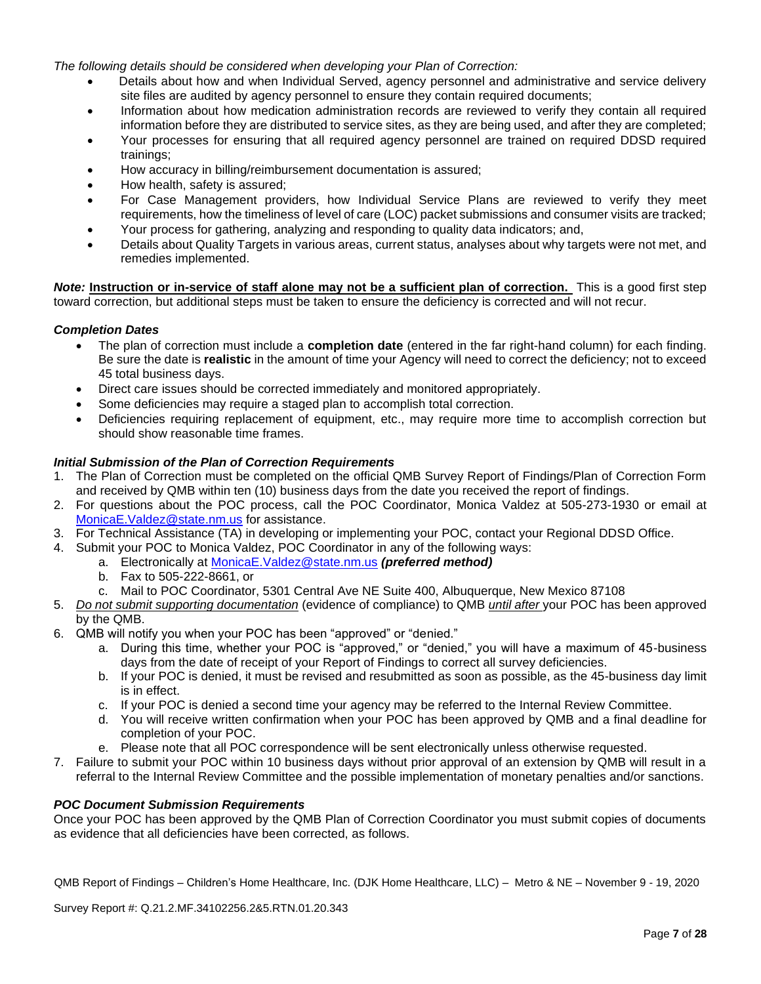*The following details should be considered when developing your Plan of Correction:*

- Details about how and when Individual Served, agency personnel and administrative and service delivery site files are audited by agency personnel to ensure they contain required documents;
- Information about how medication administration records are reviewed to verify they contain all required information before they are distributed to service sites, as they are being used, and after they are completed;
- Your processes for ensuring that all required agency personnel are trained on required DDSD required trainings;
- How accuracy in billing/reimbursement documentation is assured;
- How health, safety is assured;
- For Case Management providers, how Individual Service Plans are reviewed to verify they meet requirements, how the timeliness of level of care (LOC) packet submissions and consumer visits are tracked;
- Your process for gathering, analyzing and responding to quality data indicators; and,
- Details about Quality Targets in various areas, current status, analyses about why targets were not met, and remedies implemented.

*Note:* **Instruction or in-service of staff alone may not be a sufficient plan of correction.** This is a good first step toward correction, but additional steps must be taken to ensure the deficiency is corrected and will not recur.

### *Completion Dates*

- The plan of correction must include a **completion date** (entered in the far right-hand column) for each finding. Be sure the date is **realistic** in the amount of time your Agency will need to correct the deficiency; not to exceed 45 total business days.
- Direct care issues should be corrected immediately and monitored appropriately.
- Some deficiencies may require a staged plan to accomplish total correction.
- Deficiencies requiring replacement of equipment, etc., may require more time to accomplish correction but should show reasonable time frames.

### *Initial Submission of the Plan of Correction Requirements*

- 1. The Plan of Correction must be completed on the official QMB Survey Report of Findings/Plan of Correction Form and received by QMB within ten (10) business days from the date you received the report of findings.
- 2. For questions about the POC process, call the POC Coordinator, Monica Valdez at 505-273-1930 or email at [MonicaE.Valdez@state.nm.us](mailto:MonicaE.Valdez@state.nm.us) for assistance.
- 3. For Technical Assistance (TA) in developing or implementing your POC, contact your Regional DDSD Office.
- 4. Submit your POC to Monica Valdez, POC Coordinator in any of the following ways:
	- a. Electronically at [MonicaE.Valdez@state.nm.us](mailto:MonicaE.Valdez@state.nm.us) *(preferred method)*
	- b. Fax to 505-222-8661, or
	- c. Mail to POC Coordinator, 5301 Central Ave NE Suite 400, Albuquerque, New Mexico 87108
- 5. *Do not submit supporting documentation* (evidence of compliance) to QMB *until after* your POC has been approved by the QMB.
- 6. QMB will notify you when your POC has been "approved" or "denied."
	- a. During this time, whether your POC is "approved," or "denied," you will have a maximum of 45-business days from the date of receipt of your Report of Findings to correct all survey deficiencies.
	- b. If your POC is denied, it must be revised and resubmitted as soon as possible, as the 45-business day limit is in effect.
	- c. If your POC is denied a second time your agency may be referred to the Internal Review Committee.
	- d. You will receive written confirmation when your POC has been approved by QMB and a final deadline for completion of your POC.
	- e. Please note that all POC correspondence will be sent electronically unless otherwise requested.
- 7. Failure to submit your POC within 10 business days without prior approval of an extension by QMB will result in a referral to the Internal Review Committee and the possible implementation of monetary penalties and/or sanctions.

### *POC Document Submission Requirements*

Once your POC has been approved by the QMB Plan of Correction Coordinator you must submit copies of documents as evidence that all deficiencies have been corrected, as follows.

QMB Report of Findings – Children's Home Healthcare, Inc. (DJK Home Healthcare, LLC) – Metro & NE – November 9 - 19, 2020

Survey Report #: Q.21.2.MF.34102256.2&5.RTN.01.20.343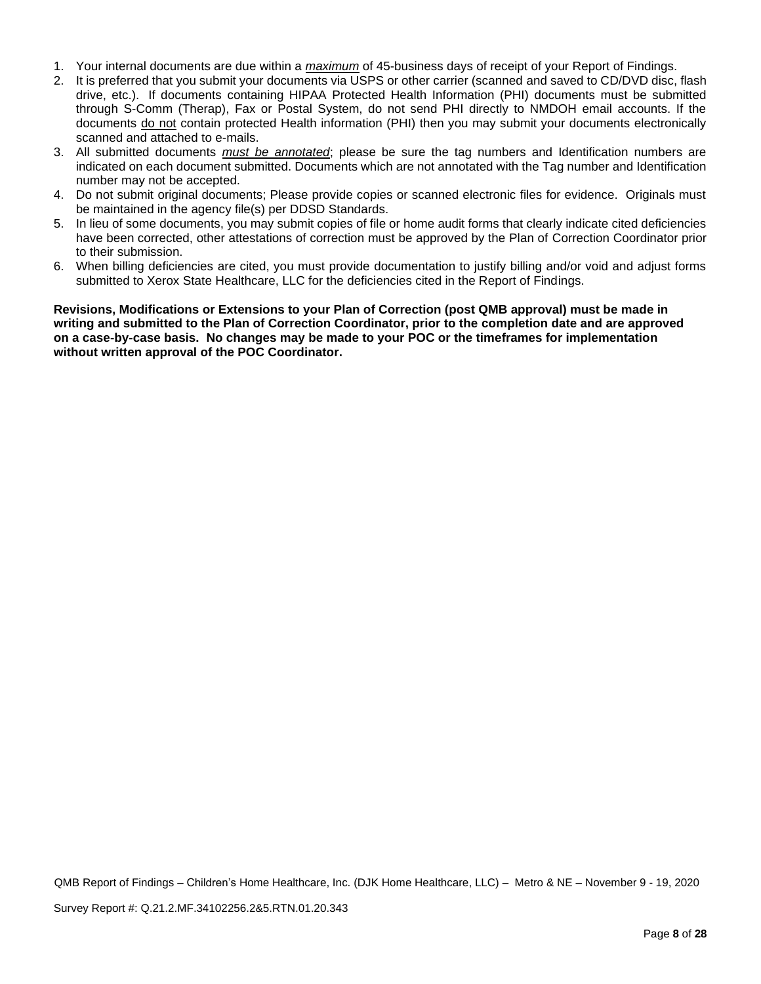- 1. Your internal documents are due within a *maximum* of 45-business days of receipt of your Report of Findings.
- 2. It is preferred that you submit your documents via USPS or other carrier (scanned and saved to CD/DVD disc, flash drive, etc.). If documents containing HIPAA Protected Health Information (PHI) documents must be submitted through S-Comm (Therap), Fax or Postal System, do not send PHI directly to NMDOH email accounts. If the documents do not contain protected Health information (PHI) then you may submit your documents electronically scanned and attached to e-mails.
- 3. All submitted documents *must be annotated*; please be sure the tag numbers and Identification numbers are indicated on each document submitted. Documents which are not annotated with the Tag number and Identification number may not be accepted.
- 4. Do not submit original documents; Please provide copies or scanned electronic files for evidence. Originals must be maintained in the agency file(s) per DDSD Standards.
- 5. In lieu of some documents, you may submit copies of file or home audit forms that clearly indicate cited deficiencies have been corrected, other attestations of correction must be approved by the Plan of Correction Coordinator prior to their submission.
- 6. When billing deficiencies are cited, you must provide documentation to justify billing and/or void and adjust forms submitted to Xerox State Healthcare, LLC for the deficiencies cited in the Report of Findings.

**Revisions, Modifications or Extensions to your Plan of Correction (post QMB approval) must be made in writing and submitted to the Plan of Correction Coordinator, prior to the completion date and are approved on a case-by-case basis. No changes may be made to your POC or the timeframes for implementation without written approval of the POC Coordinator.**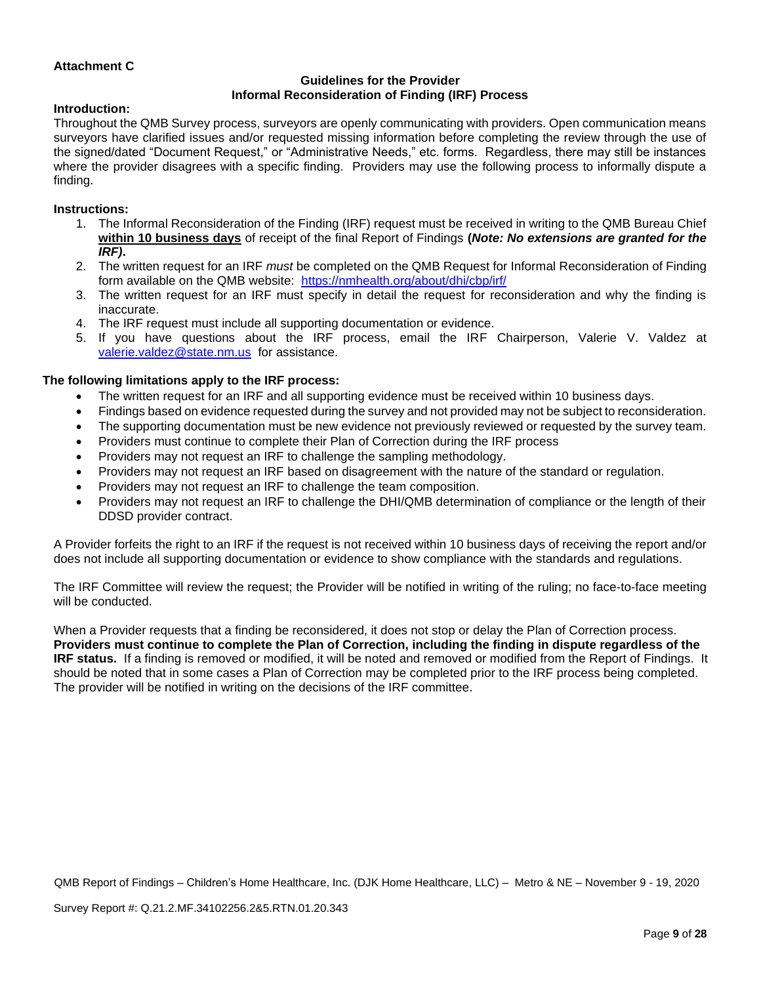### **Attachment C**

### **Guidelines for the Provider Informal Reconsideration of Finding (IRF) Process**

### **Introduction:**

Throughout the QMB Survey process, surveyors are openly communicating with providers. Open communication means surveyors have clarified issues and/or requested missing information before completing the review through the use of the signed/dated "Document Request," or "Administrative Needs," etc. forms. Regardless, there may still be instances where the provider disagrees with a specific finding. Providers may use the following process to informally dispute a finding.

### **Instructions:**

- 1. The Informal Reconsideration of the Finding (IRF) request must be received in writing to the QMB Bureau Chief **within 10 business days** of receipt of the final Report of Findings **(***Note: No extensions are granted for the IRF)***.**
- 2. The written request for an IRF *must* be completed on the QMB Request for Informal Reconsideration of Finding form available on the QMB website: <https://nmhealth.org/about/dhi/cbp/irf/>
- 3. The written request for an IRF must specify in detail the request for reconsideration and why the finding is inaccurate.
- 4. The IRF request must include all supporting documentation or evidence.
- 5. If you have questions about the IRF process, email the IRF Chairperson, Valerie V. Valdez at [valerie.valdez@state.nm.us](mailto:valerie.valdez@state.nm.us) for assistance.

### **The following limitations apply to the IRF process:**

- The written request for an IRF and all supporting evidence must be received within 10 business days.
- Findings based on evidence requested during the survey and not provided may not be subject to reconsideration.
- The supporting documentation must be new evidence not previously reviewed or requested by the survey team.
- Providers must continue to complete their Plan of Correction during the IRF process
- Providers may not request an IRF to challenge the sampling methodology.
- Providers may not request an IRF based on disagreement with the nature of the standard or regulation.
- Providers may not request an IRF to challenge the team composition.
- Providers may not request an IRF to challenge the DHI/QMB determination of compliance or the length of their DDSD provider contract.

A Provider forfeits the right to an IRF if the request is not received within 10 business days of receiving the report and/or does not include all supporting documentation or evidence to show compliance with the standards and regulations.

The IRF Committee will review the request; the Provider will be notified in writing of the ruling; no face-to-face meeting will be conducted.

When a Provider requests that a finding be reconsidered, it does not stop or delay the Plan of Correction process. **Providers must continue to complete the Plan of Correction, including the finding in dispute regardless of the IRF status.** If a finding is removed or modified, it will be noted and removed or modified from the Report of Findings. It should be noted that in some cases a Plan of Correction may be completed prior to the IRF process being completed. The provider will be notified in writing on the decisions of the IRF committee.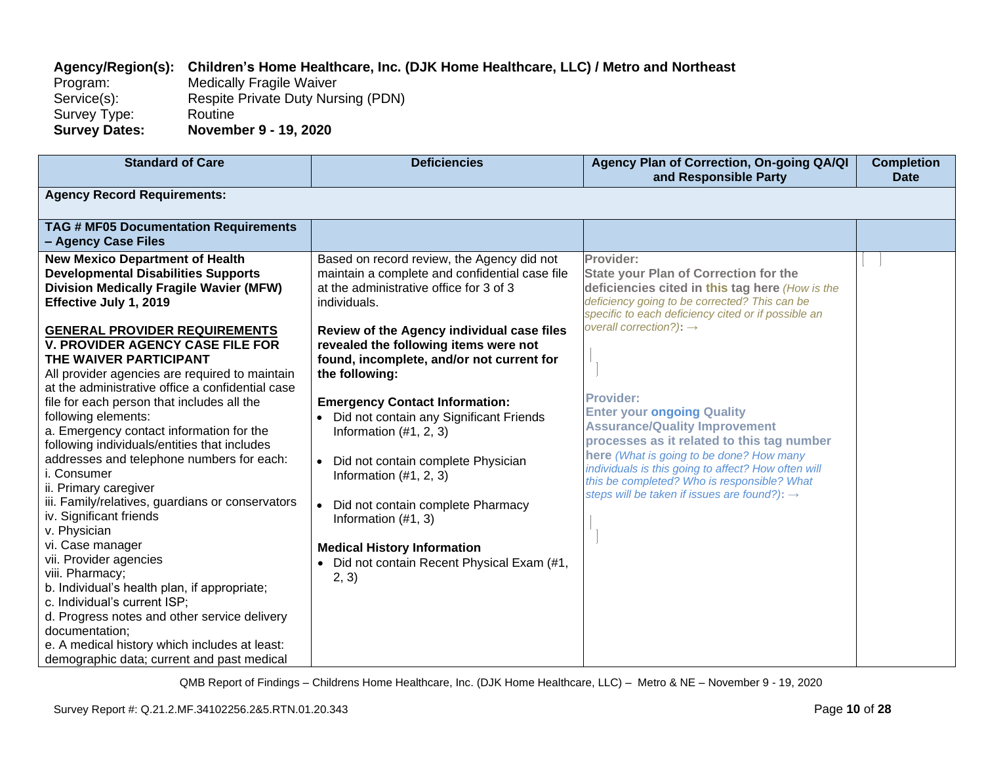# **Agency/Region(s): Children's Home Healthcare, Inc. (DJK Home Healthcare, LLC) / Metro and Northeast**

Program: Medically Fragile Waiver<br>Service(s): Respite Private Duty Nurs Respite Private Duty Nursing (PDN) Survey Type: Routine<br>
Survey Dates: Novemb **Survey Dates: November 9 - 19, 2020**

| <b>Standard of Care</b>                                                                                                                                                                                                                                                                                                                                                                                                                                                                                                                                                                                                                                                                       | <b>Deficiencies</b>                                                                                                                                                                                                                                                                                                                                                                                                                                                                                                                         | Agency Plan of Correction, On-going QA/QI<br>and Responsible Party                                                                                                                                                                                                                                                                                                                                                                                                                                                                                                                                                       | <b>Completion</b><br><b>Date</b> |
|-----------------------------------------------------------------------------------------------------------------------------------------------------------------------------------------------------------------------------------------------------------------------------------------------------------------------------------------------------------------------------------------------------------------------------------------------------------------------------------------------------------------------------------------------------------------------------------------------------------------------------------------------------------------------------------------------|---------------------------------------------------------------------------------------------------------------------------------------------------------------------------------------------------------------------------------------------------------------------------------------------------------------------------------------------------------------------------------------------------------------------------------------------------------------------------------------------------------------------------------------------|--------------------------------------------------------------------------------------------------------------------------------------------------------------------------------------------------------------------------------------------------------------------------------------------------------------------------------------------------------------------------------------------------------------------------------------------------------------------------------------------------------------------------------------------------------------------------------------------------------------------------|----------------------------------|
| <b>Agency Record Requirements:</b>                                                                                                                                                                                                                                                                                                                                                                                                                                                                                                                                                                                                                                                            |                                                                                                                                                                                                                                                                                                                                                                                                                                                                                                                                             |                                                                                                                                                                                                                                                                                                                                                                                                                                                                                                                                                                                                                          |                                  |
| <b>TAG # MF05 Documentation Requirements</b><br>- Agency Case Files                                                                                                                                                                                                                                                                                                                                                                                                                                                                                                                                                                                                                           |                                                                                                                                                                                                                                                                                                                                                                                                                                                                                                                                             |                                                                                                                                                                                                                                                                                                                                                                                                                                                                                                                                                                                                                          |                                  |
| <b>New Mexico Department of Health</b><br><b>Developmental Disabilities Supports</b><br><b>Division Medically Fragile Wavier (MFW)</b><br>Effective July 1, 2019<br><b>GENERAL PROVIDER REQUIREMENTS</b><br><b>V. PROVIDER AGENCY CASE FILE FOR</b><br>THE WAIVER PARTICIPANT<br>All provider agencies are required to maintain<br>at the administrative office a confidential case<br>file for each person that includes all the<br>following elements:<br>a. Emergency contact information for the<br>following individuals/entities that includes<br>addresses and telephone numbers for each:<br>i. Consumer<br>ii. Primary caregiver<br>iii. Family/relatives, guardians or conservators | Based on record review, the Agency did not<br>maintain a complete and confidential case file<br>at the administrative office for 3 of 3<br>individuals.<br>Review of the Agency individual case files<br>revealed the following items were not<br>found, incomplete, and/or not current for<br>the following:<br><b>Emergency Contact Information:</b><br>• Did not contain any Significant Friends<br>Information $(#1, 2, 3)$<br>• Did not contain complete Physician<br>Information $(\#1, 2, 3)$<br>• Did not contain complete Pharmacy | Provider:<br><b>State your Plan of Correction for the</b><br>deficiencies cited in this tag here (How is the<br>deficiency going to be corrected? This can be<br>specific to each deficiency cited or if possible an<br>overall correction?): $\rightarrow$<br><b>Provider:</b><br><b>Enter your ongoing Quality</b><br><b>Assurance/Quality Improvement</b><br>processes as it related to this tag number<br>here (What is going to be done? How many<br>individuals is this going to affect? How often will<br>this be completed? Who is responsible? What<br>steps will be taken if issues are found?): $\rightarrow$ |                                  |
| iv. Significant friends<br>v. Physician<br>vi. Case manager<br>vii. Provider agencies<br>viii. Pharmacy;<br>b. Individual's health plan, if appropriate;<br>c. Individual's current ISP;<br>d. Progress notes and other service delivery<br>documentation;<br>e. A medical history which includes at least:<br>demographic data; current and past medical                                                                                                                                                                                                                                                                                                                                     | Information (#1, 3)<br><b>Medical History Information</b><br>• Did not contain Recent Physical Exam (#1,<br>2, 3)                                                                                                                                                                                                                                                                                                                                                                                                                           |                                                                                                                                                                                                                                                                                                                                                                                                                                                                                                                                                                                                                          |                                  |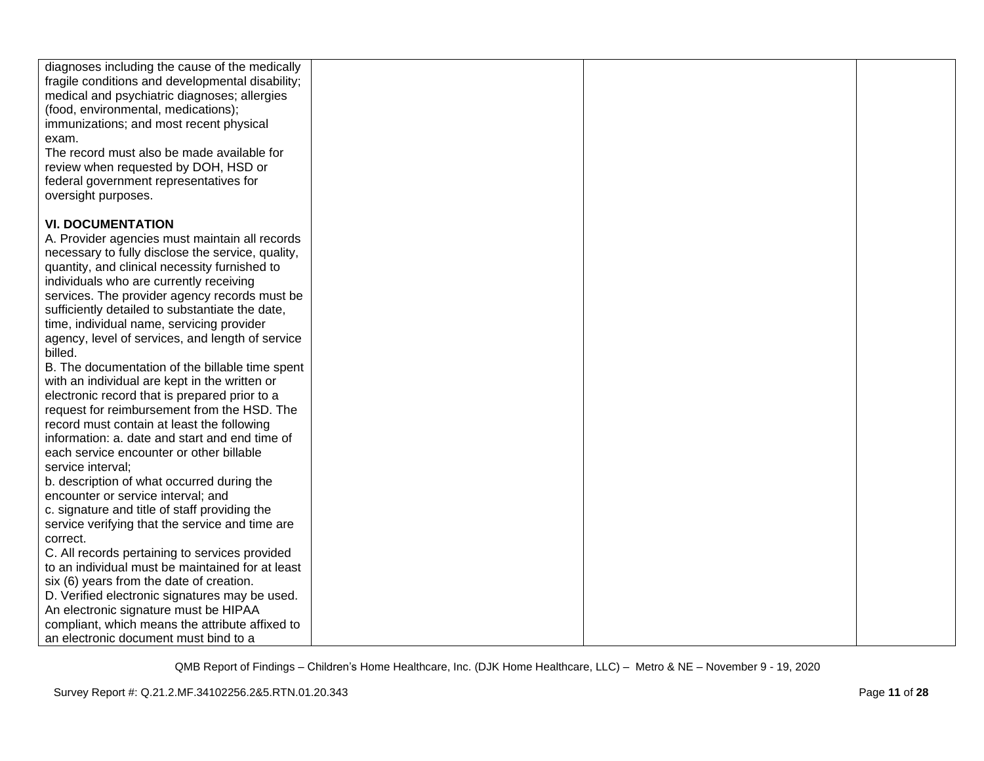| diagnoses including the cause of the medically<br>fragile conditions and developmental disability;<br>medical and psychiatric diagnoses; allergies<br>(food, environmental, medications);<br>immunizations; and most recent physical<br>exam.<br>The record must also be made available for<br>review when requested by DOH, HSD or<br>federal government representatives for<br>oversight purposes. |  |  |
|------------------------------------------------------------------------------------------------------------------------------------------------------------------------------------------------------------------------------------------------------------------------------------------------------------------------------------------------------------------------------------------------------|--|--|
| <b>VI. DOCUMENTATION</b>                                                                                                                                                                                                                                                                                                                                                                             |  |  |
|                                                                                                                                                                                                                                                                                                                                                                                                      |  |  |
| A. Provider agencies must maintain all records                                                                                                                                                                                                                                                                                                                                                       |  |  |
| necessary to fully disclose the service, quality,                                                                                                                                                                                                                                                                                                                                                    |  |  |
| quantity, and clinical necessity furnished to<br>individuals who are currently receiving                                                                                                                                                                                                                                                                                                             |  |  |
| services. The provider agency records must be                                                                                                                                                                                                                                                                                                                                                        |  |  |
| sufficiently detailed to substantiate the date,                                                                                                                                                                                                                                                                                                                                                      |  |  |
| time, individual name, servicing provider                                                                                                                                                                                                                                                                                                                                                            |  |  |
| agency, level of services, and length of service                                                                                                                                                                                                                                                                                                                                                     |  |  |
| billed.                                                                                                                                                                                                                                                                                                                                                                                              |  |  |
| B. The documentation of the billable time spent                                                                                                                                                                                                                                                                                                                                                      |  |  |
| with an individual are kept in the written or                                                                                                                                                                                                                                                                                                                                                        |  |  |
| electronic record that is prepared prior to a                                                                                                                                                                                                                                                                                                                                                        |  |  |
| request for reimbursement from the HSD. The                                                                                                                                                                                                                                                                                                                                                          |  |  |
| record must contain at least the following                                                                                                                                                                                                                                                                                                                                                           |  |  |
| information: a. date and start and end time of                                                                                                                                                                                                                                                                                                                                                       |  |  |
| each service encounter or other billable                                                                                                                                                                                                                                                                                                                                                             |  |  |
| service interval;                                                                                                                                                                                                                                                                                                                                                                                    |  |  |
| b. description of what occurred during the                                                                                                                                                                                                                                                                                                                                                           |  |  |
| encounter or service interval; and                                                                                                                                                                                                                                                                                                                                                                   |  |  |
| c. signature and title of staff providing the                                                                                                                                                                                                                                                                                                                                                        |  |  |
| service verifying that the service and time are                                                                                                                                                                                                                                                                                                                                                      |  |  |
| correct.                                                                                                                                                                                                                                                                                                                                                                                             |  |  |
| C. All records pertaining to services provided<br>to an individual must be maintained for at least                                                                                                                                                                                                                                                                                                   |  |  |
| six (6) years from the date of creation.                                                                                                                                                                                                                                                                                                                                                             |  |  |
| D. Verified electronic signatures may be used.                                                                                                                                                                                                                                                                                                                                                       |  |  |
| An electronic signature must be HIPAA                                                                                                                                                                                                                                                                                                                                                                |  |  |
| compliant, which means the attribute affixed to                                                                                                                                                                                                                                                                                                                                                      |  |  |
| an electronic document must bind to a                                                                                                                                                                                                                                                                                                                                                                |  |  |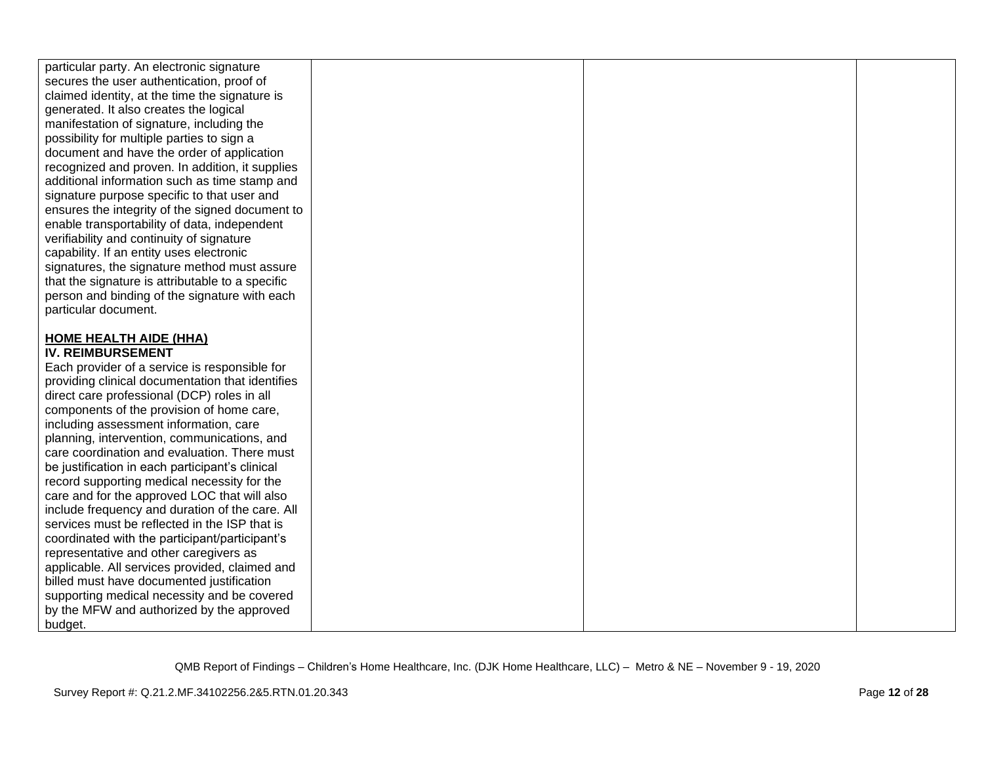| particular party. An electronic signature<br>secures the user authentication, proof of<br>claimed identity, at the time the signature is<br>generated. It also creates the logical<br>manifestation of signature, including the<br>possibility for multiple parties to sign a<br>document and have the order of application<br>recognized and proven. In addition, it supplies<br>additional information such as time stamp and<br>signature purpose specific to that user and<br>ensures the integrity of the signed document to<br>enable transportability of data, independent<br>verifiability and continuity of signature<br>capability. If an entity uses electronic<br>signatures, the signature method must assure<br>that the signature is attributable to a specific<br>person and binding of the signature with each<br>particular document.<br><b>HOME HEALTH AIDE (HHA)</b><br><b>IV. REIMBURSEMENT</b><br>Each provider of a service is responsible for<br>providing clinical documentation that identifies<br>direct care professional (DCP) roles in all<br>components of the provision of home care,<br>including assessment information, care<br>planning, intervention, communications, and<br>care coordination and evaluation. There must<br>be justification in each participant's clinical<br>record supporting medical necessity for the<br>care and for the approved LOC that will also<br>include frequency and duration of the care. All<br>services must be reflected in the ISP that is<br>coordinated with the participant/participant's<br>representative and other caregivers as<br>applicable. All services provided, claimed and<br>billed must have documented justification<br>supporting medical necessity and be covered<br>by the MFW and authorized by the approved<br>budget. |  |  |  |
|------------------------------------------------------------------------------------------------------------------------------------------------------------------------------------------------------------------------------------------------------------------------------------------------------------------------------------------------------------------------------------------------------------------------------------------------------------------------------------------------------------------------------------------------------------------------------------------------------------------------------------------------------------------------------------------------------------------------------------------------------------------------------------------------------------------------------------------------------------------------------------------------------------------------------------------------------------------------------------------------------------------------------------------------------------------------------------------------------------------------------------------------------------------------------------------------------------------------------------------------------------------------------------------------------------------------------------------------------------------------------------------------------------------------------------------------------------------------------------------------------------------------------------------------------------------------------------------------------------------------------------------------------------------------------------------------------------------------------------------------------------------------------------------------------------------------|--|--|--|
|                                                                                                                                                                                                                                                                                                                                                                                                                                                                                                                                                                                                                                                                                                                                                                                                                                                                                                                                                                                                                                                                                                                                                                                                                                                                                                                                                                                                                                                                                                                                                                                                                                                                                                                                                                                                                        |  |  |  |
|                                                                                                                                                                                                                                                                                                                                                                                                                                                                                                                                                                                                                                                                                                                                                                                                                                                                                                                                                                                                                                                                                                                                                                                                                                                                                                                                                                                                                                                                                                                                                                                                                                                                                                                                                                                                                        |  |  |  |
|                                                                                                                                                                                                                                                                                                                                                                                                                                                                                                                                                                                                                                                                                                                                                                                                                                                                                                                                                                                                                                                                                                                                                                                                                                                                                                                                                                                                                                                                                                                                                                                                                                                                                                                                                                                                                        |  |  |  |
|                                                                                                                                                                                                                                                                                                                                                                                                                                                                                                                                                                                                                                                                                                                                                                                                                                                                                                                                                                                                                                                                                                                                                                                                                                                                                                                                                                                                                                                                                                                                                                                                                                                                                                                                                                                                                        |  |  |  |
|                                                                                                                                                                                                                                                                                                                                                                                                                                                                                                                                                                                                                                                                                                                                                                                                                                                                                                                                                                                                                                                                                                                                                                                                                                                                                                                                                                                                                                                                                                                                                                                                                                                                                                                                                                                                                        |  |  |  |
|                                                                                                                                                                                                                                                                                                                                                                                                                                                                                                                                                                                                                                                                                                                                                                                                                                                                                                                                                                                                                                                                                                                                                                                                                                                                                                                                                                                                                                                                                                                                                                                                                                                                                                                                                                                                                        |  |  |  |
|                                                                                                                                                                                                                                                                                                                                                                                                                                                                                                                                                                                                                                                                                                                                                                                                                                                                                                                                                                                                                                                                                                                                                                                                                                                                                                                                                                                                                                                                                                                                                                                                                                                                                                                                                                                                                        |  |  |  |
|                                                                                                                                                                                                                                                                                                                                                                                                                                                                                                                                                                                                                                                                                                                                                                                                                                                                                                                                                                                                                                                                                                                                                                                                                                                                                                                                                                                                                                                                                                                                                                                                                                                                                                                                                                                                                        |  |  |  |
|                                                                                                                                                                                                                                                                                                                                                                                                                                                                                                                                                                                                                                                                                                                                                                                                                                                                                                                                                                                                                                                                                                                                                                                                                                                                                                                                                                                                                                                                                                                                                                                                                                                                                                                                                                                                                        |  |  |  |
|                                                                                                                                                                                                                                                                                                                                                                                                                                                                                                                                                                                                                                                                                                                                                                                                                                                                                                                                                                                                                                                                                                                                                                                                                                                                                                                                                                                                                                                                                                                                                                                                                                                                                                                                                                                                                        |  |  |  |
|                                                                                                                                                                                                                                                                                                                                                                                                                                                                                                                                                                                                                                                                                                                                                                                                                                                                                                                                                                                                                                                                                                                                                                                                                                                                                                                                                                                                                                                                                                                                                                                                                                                                                                                                                                                                                        |  |  |  |
|                                                                                                                                                                                                                                                                                                                                                                                                                                                                                                                                                                                                                                                                                                                                                                                                                                                                                                                                                                                                                                                                                                                                                                                                                                                                                                                                                                                                                                                                                                                                                                                                                                                                                                                                                                                                                        |  |  |  |
|                                                                                                                                                                                                                                                                                                                                                                                                                                                                                                                                                                                                                                                                                                                                                                                                                                                                                                                                                                                                                                                                                                                                                                                                                                                                                                                                                                                                                                                                                                                                                                                                                                                                                                                                                                                                                        |  |  |  |
|                                                                                                                                                                                                                                                                                                                                                                                                                                                                                                                                                                                                                                                                                                                                                                                                                                                                                                                                                                                                                                                                                                                                                                                                                                                                                                                                                                                                                                                                                                                                                                                                                                                                                                                                                                                                                        |  |  |  |
|                                                                                                                                                                                                                                                                                                                                                                                                                                                                                                                                                                                                                                                                                                                                                                                                                                                                                                                                                                                                                                                                                                                                                                                                                                                                                                                                                                                                                                                                                                                                                                                                                                                                                                                                                                                                                        |  |  |  |
|                                                                                                                                                                                                                                                                                                                                                                                                                                                                                                                                                                                                                                                                                                                                                                                                                                                                                                                                                                                                                                                                                                                                                                                                                                                                                                                                                                                                                                                                                                                                                                                                                                                                                                                                                                                                                        |  |  |  |
|                                                                                                                                                                                                                                                                                                                                                                                                                                                                                                                                                                                                                                                                                                                                                                                                                                                                                                                                                                                                                                                                                                                                                                                                                                                                                                                                                                                                                                                                                                                                                                                                                                                                                                                                                                                                                        |  |  |  |
|                                                                                                                                                                                                                                                                                                                                                                                                                                                                                                                                                                                                                                                                                                                                                                                                                                                                                                                                                                                                                                                                                                                                                                                                                                                                                                                                                                                                                                                                                                                                                                                                                                                                                                                                                                                                                        |  |  |  |
|                                                                                                                                                                                                                                                                                                                                                                                                                                                                                                                                                                                                                                                                                                                                                                                                                                                                                                                                                                                                                                                                                                                                                                                                                                                                                                                                                                                                                                                                                                                                                                                                                                                                                                                                                                                                                        |  |  |  |
|                                                                                                                                                                                                                                                                                                                                                                                                                                                                                                                                                                                                                                                                                                                                                                                                                                                                                                                                                                                                                                                                                                                                                                                                                                                                                                                                                                                                                                                                                                                                                                                                                                                                                                                                                                                                                        |  |  |  |
|                                                                                                                                                                                                                                                                                                                                                                                                                                                                                                                                                                                                                                                                                                                                                                                                                                                                                                                                                                                                                                                                                                                                                                                                                                                                                                                                                                                                                                                                                                                                                                                                                                                                                                                                                                                                                        |  |  |  |
|                                                                                                                                                                                                                                                                                                                                                                                                                                                                                                                                                                                                                                                                                                                                                                                                                                                                                                                                                                                                                                                                                                                                                                                                                                                                                                                                                                                                                                                                                                                                                                                                                                                                                                                                                                                                                        |  |  |  |
|                                                                                                                                                                                                                                                                                                                                                                                                                                                                                                                                                                                                                                                                                                                                                                                                                                                                                                                                                                                                                                                                                                                                                                                                                                                                                                                                                                                                                                                                                                                                                                                                                                                                                                                                                                                                                        |  |  |  |
|                                                                                                                                                                                                                                                                                                                                                                                                                                                                                                                                                                                                                                                                                                                                                                                                                                                                                                                                                                                                                                                                                                                                                                                                                                                                                                                                                                                                                                                                                                                                                                                                                                                                                                                                                                                                                        |  |  |  |
|                                                                                                                                                                                                                                                                                                                                                                                                                                                                                                                                                                                                                                                                                                                                                                                                                                                                                                                                                                                                                                                                                                                                                                                                                                                                                                                                                                                                                                                                                                                                                                                                                                                                                                                                                                                                                        |  |  |  |
|                                                                                                                                                                                                                                                                                                                                                                                                                                                                                                                                                                                                                                                                                                                                                                                                                                                                                                                                                                                                                                                                                                                                                                                                                                                                                                                                                                                                                                                                                                                                                                                                                                                                                                                                                                                                                        |  |  |  |
|                                                                                                                                                                                                                                                                                                                                                                                                                                                                                                                                                                                                                                                                                                                                                                                                                                                                                                                                                                                                                                                                                                                                                                                                                                                                                                                                                                                                                                                                                                                                                                                                                                                                                                                                                                                                                        |  |  |  |
|                                                                                                                                                                                                                                                                                                                                                                                                                                                                                                                                                                                                                                                                                                                                                                                                                                                                                                                                                                                                                                                                                                                                                                                                                                                                                                                                                                                                                                                                                                                                                                                                                                                                                                                                                                                                                        |  |  |  |
|                                                                                                                                                                                                                                                                                                                                                                                                                                                                                                                                                                                                                                                                                                                                                                                                                                                                                                                                                                                                                                                                                                                                                                                                                                                                                                                                                                                                                                                                                                                                                                                                                                                                                                                                                                                                                        |  |  |  |
|                                                                                                                                                                                                                                                                                                                                                                                                                                                                                                                                                                                                                                                                                                                                                                                                                                                                                                                                                                                                                                                                                                                                                                                                                                                                                                                                                                                                                                                                                                                                                                                                                                                                                                                                                                                                                        |  |  |  |
|                                                                                                                                                                                                                                                                                                                                                                                                                                                                                                                                                                                                                                                                                                                                                                                                                                                                                                                                                                                                                                                                                                                                                                                                                                                                                                                                                                                                                                                                                                                                                                                                                                                                                                                                                                                                                        |  |  |  |
|                                                                                                                                                                                                                                                                                                                                                                                                                                                                                                                                                                                                                                                                                                                                                                                                                                                                                                                                                                                                                                                                                                                                                                                                                                                                                                                                                                                                                                                                                                                                                                                                                                                                                                                                                                                                                        |  |  |  |
|                                                                                                                                                                                                                                                                                                                                                                                                                                                                                                                                                                                                                                                                                                                                                                                                                                                                                                                                                                                                                                                                                                                                                                                                                                                                                                                                                                                                                                                                                                                                                                                                                                                                                                                                                                                                                        |  |  |  |
|                                                                                                                                                                                                                                                                                                                                                                                                                                                                                                                                                                                                                                                                                                                                                                                                                                                                                                                                                                                                                                                                                                                                                                                                                                                                                                                                                                                                                                                                                                                                                                                                                                                                                                                                                                                                                        |  |  |  |
|                                                                                                                                                                                                                                                                                                                                                                                                                                                                                                                                                                                                                                                                                                                                                                                                                                                                                                                                                                                                                                                                                                                                                                                                                                                                                                                                                                                                                                                                                                                                                                                                                                                                                                                                                                                                                        |  |  |  |
|                                                                                                                                                                                                                                                                                                                                                                                                                                                                                                                                                                                                                                                                                                                                                                                                                                                                                                                                                                                                                                                                                                                                                                                                                                                                                                                                                                                                                                                                                                                                                                                                                                                                                                                                                                                                                        |  |  |  |
|                                                                                                                                                                                                                                                                                                                                                                                                                                                                                                                                                                                                                                                                                                                                                                                                                                                                                                                                                                                                                                                                                                                                                                                                                                                                                                                                                                                                                                                                                                                                                                                                                                                                                                                                                                                                                        |  |  |  |
|                                                                                                                                                                                                                                                                                                                                                                                                                                                                                                                                                                                                                                                                                                                                                                                                                                                                                                                                                                                                                                                                                                                                                                                                                                                                                                                                                                                                                                                                                                                                                                                                                                                                                                                                                                                                                        |  |  |  |
|                                                                                                                                                                                                                                                                                                                                                                                                                                                                                                                                                                                                                                                                                                                                                                                                                                                                                                                                                                                                                                                                                                                                                                                                                                                                                                                                                                                                                                                                                                                                                                                                                                                                                                                                                                                                                        |  |  |  |
|                                                                                                                                                                                                                                                                                                                                                                                                                                                                                                                                                                                                                                                                                                                                                                                                                                                                                                                                                                                                                                                                                                                                                                                                                                                                                                                                                                                                                                                                                                                                                                                                                                                                                                                                                                                                                        |  |  |  |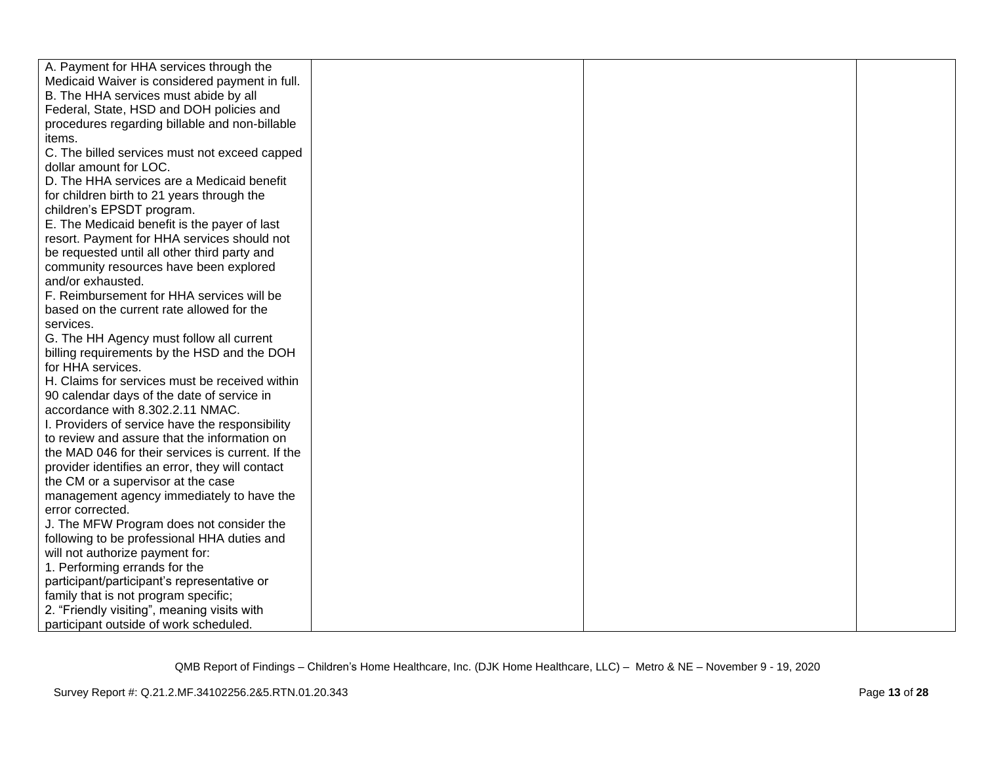| A. Payment for HHA services through the           |  |  |
|---------------------------------------------------|--|--|
| Medicaid Waiver is considered payment in full.    |  |  |
| B. The HHA services must abide by all             |  |  |
| Federal, State, HSD and DOH policies and          |  |  |
| procedures regarding billable and non-billable    |  |  |
| items.                                            |  |  |
| C. The billed services must not exceed capped     |  |  |
| dollar amount for LOC.                            |  |  |
| D. The HHA services are a Medicaid benefit        |  |  |
| for children birth to 21 years through the        |  |  |
| children's EPSDT program.                         |  |  |
| E. The Medicaid benefit is the payer of last      |  |  |
| resort. Payment for HHA services should not       |  |  |
| be requested until all other third party and      |  |  |
| community resources have been explored            |  |  |
| and/or exhausted.                                 |  |  |
| F. Reimbursement for HHA services will be         |  |  |
| based on the current rate allowed for the         |  |  |
| services.                                         |  |  |
| G. The HH Agency must follow all current          |  |  |
| billing requirements by the HSD and the DOH       |  |  |
| for HHA services.                                 |  |  |
| H. Claims for services must be received within    |  |  |
| 90 calendar days of the date of service in        |  |  |
| accordance with 8.302.2.11 NMAC.                  |  |  |
| I. Providers of service have the responsibility   |  |  |
| to review and assure that the information on      |  |  |
| the MAD 046 for their services is current. If the |  |  |
| provider identifies an error, they will contact   |  |  |
| the CM or a supervisor at the case                |  |  |
| management agency immediately to have the         |  |  |
| error corrected.                                  |  |  |
| J. The MFW Program does not consider the          |  |  |
| following to be professional HHA duties and       |  |  |
| will not authorize payment for:                   |  |  |
| 1. Performing errands for the                     |  |  |
| participant/participant's representative or       |  |  |
| family that is not program specific;              |  |  |
| 2. "Friendly visiting", meaning visits with       |  |  |
| participant outside of work scheduled.            |  |  |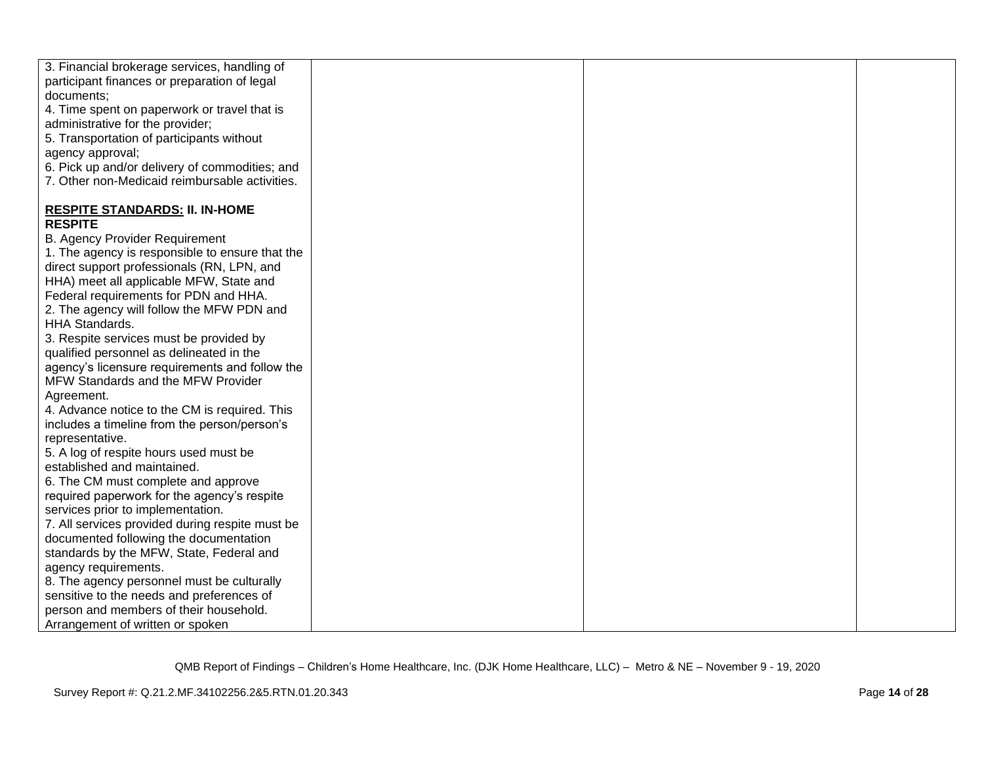| 3. Financial brokerage services, handling of    |  |  |
|-------------------------------------------------|--|--|
| participant finances or preparation of legal    |  |  |
| documents;                                      |  |  |
| 4. Time spent on paperwork or travel that is    |  |  |
| administrative for the provider;                |  |  |
| 5. Transportation of participants without       |  |  |
| agency approval;                                |  |  |
| 6. Pick up and/or delivery of commodities; and  |  |  |
| 7. Other non-Medicaid reimbursable activities.  |  |  |
| <b>RESPITE STANDARDS: II. IN-HOME</b>           |  |  |
| <b>RESPITE</b>                                  |  |  |
| <b>B. Agency Provider Requirement</b>           |  |  |
| 1. The agency is responsible to ensure that the |  |  |
| direct support professionals (RN, LPN, and      |  |  |
| HHA) meet all applicable MFW, State and         |  |  |
| Federal requirements for PDN and HHA.           |  |  |
| 2. The agency will follow the MFW PDN and       |  |  |
| <b>HHA Standards.</b>                           |  |  |
| 3. Respite services must be provided by         |  |  |
| qualified personnel as delineated in the        |  |  |
| agency's licensure requirements and follow the  |  |  |
| MFW Standards and the MFW Provider              |  |  |
| Agreement.                                      |  |  |
| 4. Advance notice to the CM is required. This   |  |  |
| includes a timeline from the person/person's    |  |  |
| representative.                                 |  |  |
| 5. A log of respite hours used must be          |  |  |
| established and maintained.                     |  |  |
| 6. The CM must complete and approve             |  |  |
| required paperwork for the agency's respite     |  |  |
| services prior to implementation.               |  |  |
| 7. All services provided during respite must be |  |  |
| documented following the documentation          |  |  |
| standards by the MFW, State, Federal and        |  |  |
| agency requirements.                            |  |  |
| 8. The agency personnel must be culturally      |  |  |
| sensitive to the needs and preferences of       |  |  |
| person and members of their household.          |  |  |
| Arrangement of written or spoken                |  |  |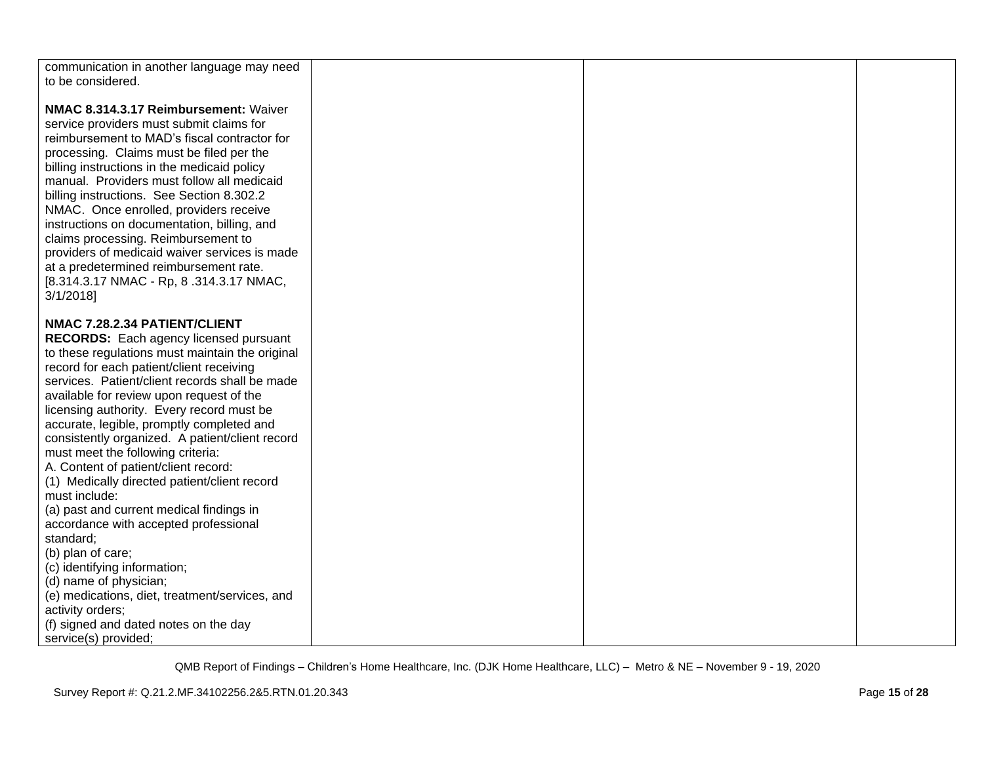| communication in another language may need<br>to be considered.                                                                                                                                                                                                                                                                                                                                                                                                                                                                                                                                                                                                          |  |  |
|--------------------------------------------------------------------------------------------------------------------------------------------------------------------------------------------------------------------------------------------------------------------------------------------------------------------------------------------------------------------------------------------------------------------------------------------------------------------------------------------------------------------------------------------------------------------------------------------------------------------------------------------------------------------------|--|--|
| NMAC 8.314.3.17 Reimbursement: Waiver<br>service providers must submit claims for<br>reimbursement to MAD's fiscal contractor for<br>processing. Claims must be filed per the<br>billing instructions in the medicaid policy<br>manual. Providers must follow all medicaid<br>billing instructions. See Section 8.302.2<br>NMAC. Once enrolled, providers receive<br>instructions on documentation, billing, and<br>claims processing. Reimbursement to<br>providers of medicaid waiver services is made<br>at a predetermined reimbursement rate.<br>[8.314.3.17 NMAC - Rp, 8.314.3.17 NMAC,<br>3/1/2018                                                                |  |  |
| NMAC 7.28.2.34 PATIENT/CLIENT<br><b>RECORDS:</b> Each agency licensed pursuant<br>to these regulations must maintain the original<br>record for each patient/client receiving<br>services. Patient/client records shall be made<br>available for review upon request of the<br>licensing authority. Every record must be<br>accurate, legible, promptly completed and<br>consistently organized. A patient/client record<br>must meet the following criteria:<br>A. Content of patient/client record:<br>(1) Medically directed patient/client record<br>must include:<br>(a) past and current medical findings in<br>accordance with accepted professional<br>standard; |  |  |
| (b) plan of care;<br>(c) identifying information;<br>(d) name of physician;<br>(e) medications, diet, treatment/services, and<br>activity orders;<br>(f) signed and dated notes on the day<br>service(s) provided;                                                                                                                                                                                                                                                                                                                                                                                                                                                       |  |  |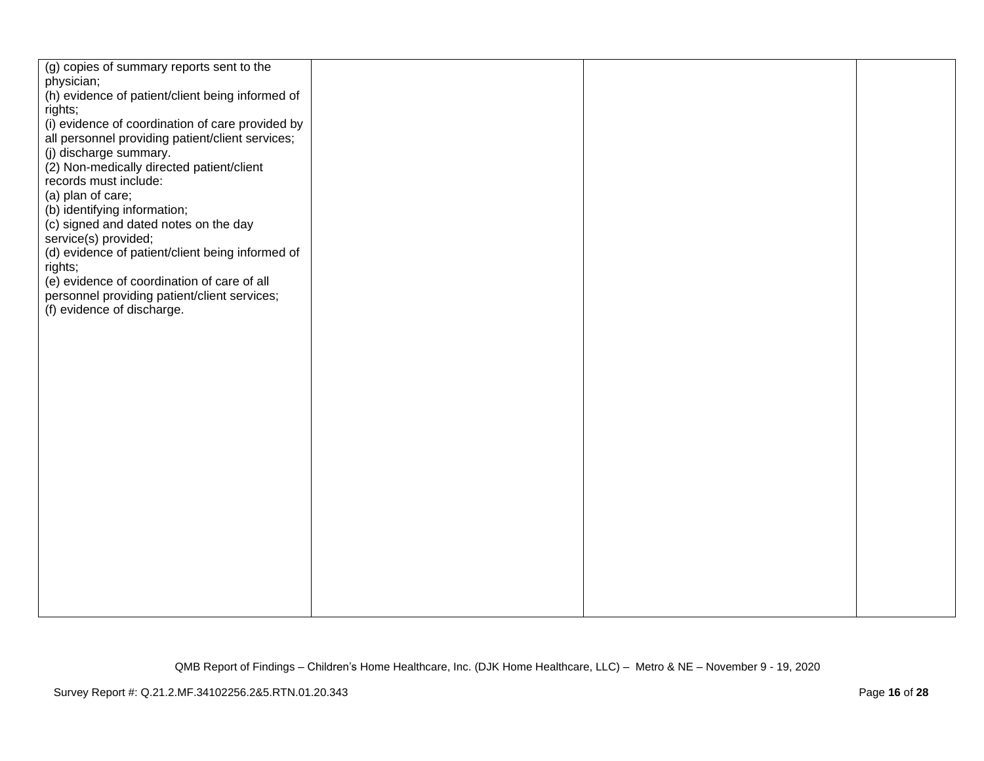| (g) copies of summary reports sent to the        |  |  |
|--------------------------------------------------|--|--|
| physician;                                       |  |  |
| (h) evidence of patient/client being informed of |  |  |
| rights;                                          |  |  |
| (i) evidence of coordination of care provided by |  |  |
| all personnel providing patient/client services; |  |  |
|                                                  |  |  |
| (j) discharge summary.                           |  |  |
| (2) Non-medically directed patient/client        |  |  |
| records must include:                            |  |  |
| (a) plan of care;                                |  |  |
| (b) identifying information;                     |  |  |
| (c) signed and dated notes on the day            |  |  |
| service(s) provided;                             |  |  |
| (d) evidence of patient/client being informed of |  |  |
| rights;                                          |  |  |
| (e) evidence of coordination of care of all      |  |  |
|                                                  |  |  |
| personnel providing patient/client services;     |  |  |
| (f) evidence of discharge.                       |  |  |
|                                                  |  |  |
|                                                  |  |  |
|                                                  |  |  |
|                                                  |  |  |
|                                                  |  |  |
|                                                  |  |  |
|                                                  |  |  |
|                                                  |  |  |
|                                                  |  |  |
|                                                  |  |  |
|                                                  |  |  |
|                                                  |  |  |
|                                                  |  |  |
|                                                  |  |  |
|                                                  |  |  |
|                                                  |  |  |
|                                                  |  |  |
|                                                  |  |  |
|                                                  |  |  |
|                                                  |  |  |
|                                                  |  |  |
|                                                  |  |  |
|                                                  |  |  |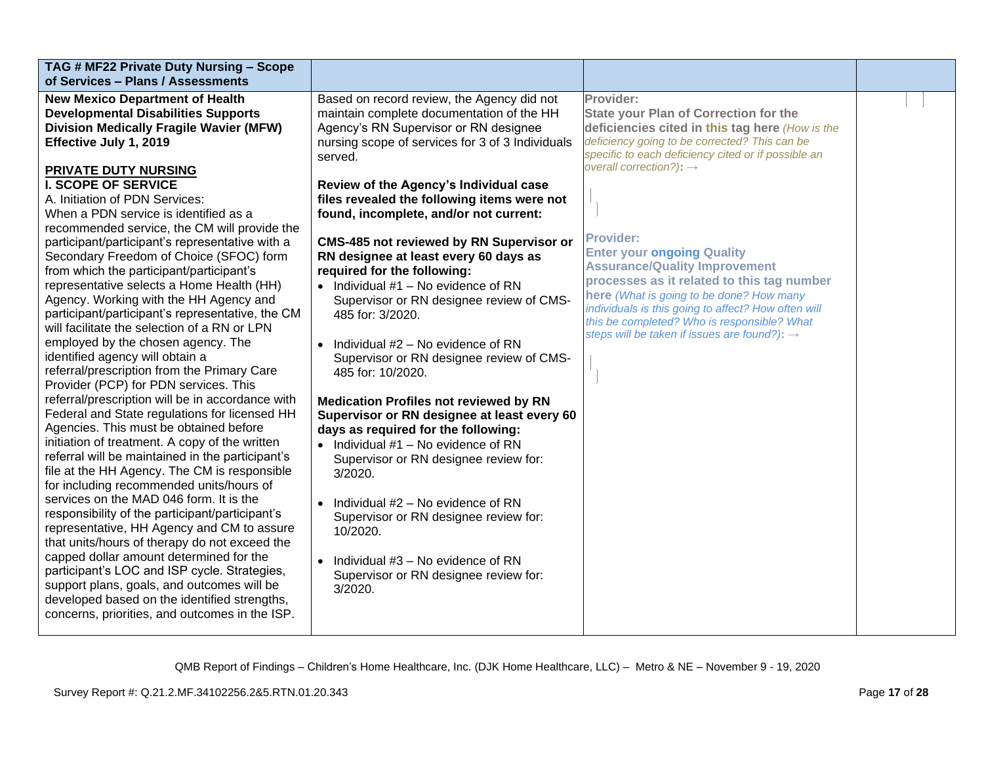| TAG # MF22 Private Duty Nursing - Scope<br>of Services - Plans / Assessments                                                                                                                                                                                                                                                                                                                                                                                                                                                                                                                                                                                                                                                                                                                                                                                                                                                                                                                                                                                                                                                                                                                                                                                                                                                                                                                                                                                                                                                                                                                                                                     |                                                                                                                                                                                                                                                                                                                                                                                                                                                                                                                                                                                                                                                                                                                                                                                                                                                                                                                                                                                                                                                                                                                                               |                                                                                                                                                                                                                                                                                                                                                                                                                                                                                                                                                                                                                          |  |
|--------------------------------------------------------------------------------------------------------------------------------------------------------------------------------------------------------------------------------------------------------------------------------------------------------------------------------------------------------------------------------------------------------------------------------------------------------------------------------------------------------------------------------------------------------------------------------------------------------------------------------------------------------------------------------------------------------------------------------------------------------------------------------------------------------------------------------------------------------------------------------------------------------------------------------------------------------------------------------------------------------------------------------------------------------------------------------------------------------------------------------------------------------------------------------------------------------------------------------------------------------------------------------------------------------------------------------------------------------------------------------------------------------------------------------------------------------------------------------------------------------------------------------------------------------------------------------------------------------------------------------------------------|-----------------------------------------------------------------------------------------------------------------------------------------------------------------------------------------------------------------------------------------------------------------------------------------------------------------------------------------------------------------------------------------------------------------------------------------------------------------------------------------------------------------------------------------------------------------------------------------------------------------------------------------------------------------------------------------------------------------------------------------------------------------------------------------------------------------------------------------------------------------------------------------------------------------------------------------------------------------------------------------------------------------------------------------------------------------------------------------------------------------------------------------------|--------------------------------------------------------------------------------------------------------------------------------------------------------------------------------------------------------------------------------------------------------------------------------------------------------------------------------------------------------------------------------------------------------------------------------------------------------------------------------------------------------------------------------------------------------------------------------------------------------------------------|--|
| <b>New Mexico Department of Health</b><br><b>Developmental Disabilities Supports</b><br><b>Division Medically Fragile Wavier (MFW)</b><br>Effective July 1, 2019<br>PRIVATE DUTY NURSING<br><b>I. SCOPE OF SERVICE</b><br>A. Initiation of PDN Services:<br>When a PDN service is identified as a<br>recommended service, the CM will provide the<br>participant/participant's representative with a<br>Secondary Freedom of Choice (SFOC) form<br>from which the participant/participant's<br>representative selects a Home Health (HH)<br>Agency. Working with the HH Agency and<br>participant/participant's representative, the CM<br>will facilitate the selection of a RN or LPN<br>employed by the chosen agency. The<br>identified agency will obtain a<br>referral/prescription from the Primary Care<br>Provider (PCP) for PDN services. This<br>referral/prescription will be in accordance with<br>Federal and State regulations for licensed HH<br>Agencies. This must be obtained before<br>initiation of treatment. A copy of the written<br>referral will be maintained in the participant's<br>file at the HH Agency. The CM is responsible<br>for including recommended units/hours of<br>services on the MAD 046 form. It is the<br>responsibility of the participant/participant's<br>representative, HH Agency and CM to assure<br>that units/hours of therapy do not exceed the<br>capped dollar amount determined for the<br>participant's LOC and ISP cycle. Strategies,<br>support plans, goals, and outcomes will be<br>developed based on the identified strengths,<br>concerns, priorities, and outcomes in the ISP. | Based on record review, the Agency did not<br>maintain complete documentation of the HH<br>Agency's RN Supervisor or RN designee<br>nursing scope of services for 3 of 3 Individuals<br>served.<br>Review of the Agency's Individual case<br>files revealed the following items were not<br>found, incomplete, and/or not current:<br><b>CMS-485 not reviewed by RN Supervisor or</b><br>RN designee at least every 60 days as<br>required for the following:<br>$\bullet$ Individual #1 - No evidence of RN<br>Supervisor or RN designee review of CMS-<br>485 for: 3/2020.<br>$\bullet$ Individual #2 – No evidence of RN<br>Supervisor or RN designee review of CMS-<br>485 for: 10/2020.<br><b>Medication Profiles not reviewed by RN</b><br>Supervisor or RN designee at least every 60<br>days as required for the following:<br>$\bullet$ Individual #1 - No evidence of RN<br>Supervisor or RN designee review for:<br>3/2020.<br>$\bullet$ Individual #2 – No evidence of RN<br>Supervisor or RN designee review for:<br>10/2020.<br>$\bullet$ Individual #3 – No evidence of RN<br>Supervisor or RN designee review for:<br>3/2020. | Provider:<br><b>State your Plan of Correction for the</b><br>deficiencies cited in this tag here (How is the<br>deficiency going to be corrected? This can be<br>specific to each deficiency cited or if possible an<br>overall correction?): $\rightarrow$<br><b>Provider:</b><br><b>Enter your ongoing Quality</b><br><b>Assurance/Quality Improvement</b><br>processes as it related to this tag number<br>here (What is going to be done? How many<br>individuals is this going to affect? How often will<br>this be completed? Who is responsible? What<br>steps will be taken if issues are found?): $\rightarrow$ |  |
|                                                                                                                                                                                                                                                                                                                                                                                                                                                                                                                                                                                                                                                                                                                                                                                                                                                                                                                                                                                                                                                                                                                                                                                                                                                                                                                                                                                                                                                                                                                                                                                                                                                  |                                                                                                                                                                                                                                                                                                                                                                                                                                                                                                                                                                                                                                                                                                                                                                                                                                                                                                                                                                                                                                                                                                                                               |                                                                                                                                                                                                                                                                                                                                                                                                                                                                                                                                                                                                                          |  |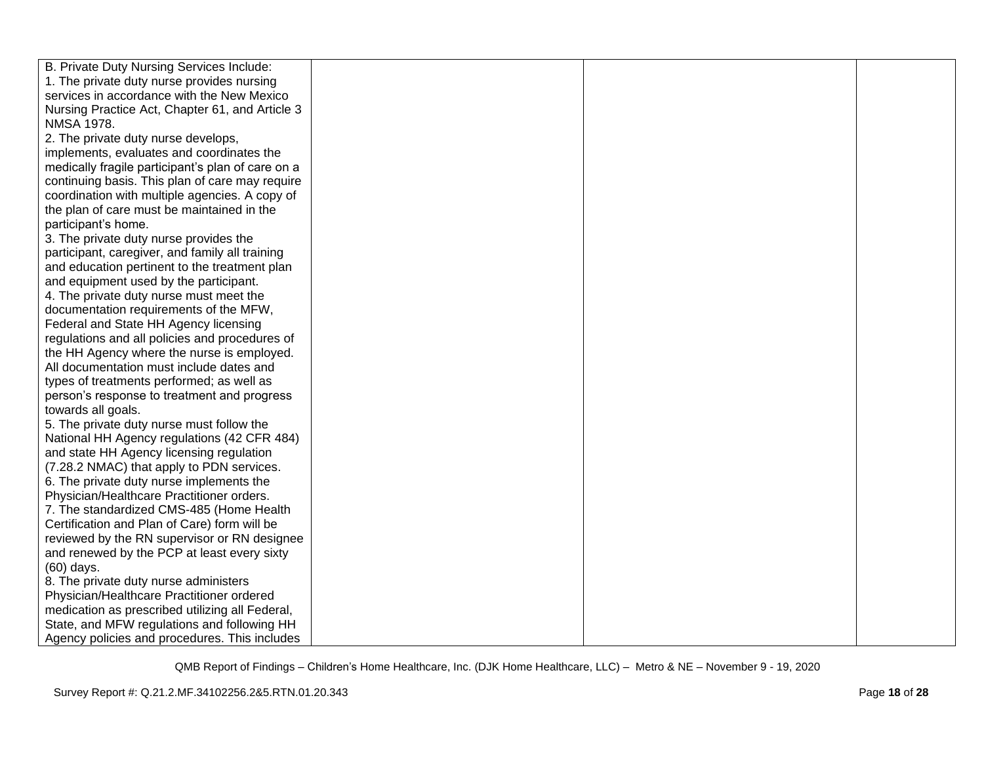| B. Private Duty Nursing Services Include:         |  |  |
|---------------------------------------------------|--|--|
| 1. The private duty nurse provides nursing        |  |  |
| services in accordance with the New Mexico        |  |  |
| Nursing Practice Act, Chapter 61, and Article 3   |  |  |
| <b>NMSA 1978.</b>                                 |  |  |
| 2. The private duty nurse develops,               |  |  |
| implements, evaluates and coordinates the         |  |  |
| medically fragile participant's plan of care on a |  |  |
| continuing basis. This plan of care may require   |  |  |
| coordination with multiple agencies. A copy of    |  |  |
| the plan of care must be maintained in the        |  |  |
| participant's home.                               |  |  |
| 3. The private duty nurse provides the            |  |  |
| participant, caregiver, and family all training   |  |  |
| and education pertinent to the treatment plan     |  |  |
| and equipment used by the participant.            |  |  |
| 4. The private duty nurse must meet the           |  |  |
| documentation requirements of the MFW,            |  |  |
| Federal and State HH Agency licensing             |  |  |
| regulations and all policies and procedures of    |  |  |
| the HH Agency where the nurse is employed.        |  |  |
| All documentation must include dates and          |  |  |
| types of treatments performed; as well as         |  |  |
| person's response to treatment and progress       |  |  |
| towards all goals.                                |  |  |
| 5. The private duty nurse must follow the         |  |  |
| National HH Agency regulations (42 CFR 484)       |  |  |
| and state HH Agency licensing regulation          |  |  |
| (7.28.2 NMAC) that apply to PDN services.         |  |  |
| 6. The private duty nurse implements the          |  |  |
| Physician/Healthcare Practitioner orders.         |  |  |
| 7. The standardized CMS-485 (Home Health          |  |  |
| Certification and Plan of Care) form will be      |  |  |
| reviewed by the RN supervisor or RN designee      |  |  |
| and renewed by the PCP at least every sixty       |  |  |
| (60) days.                                        |  |  |
| 8. The private duty nurse administers             |  |  |
| Physician/Healthcare Practitioner ordered         |  |  |
| medication as prescribed utilizing all Federal,   |  |  |
| State, and MFW regulations and following HH       |  |  |
| Agency policies and procedures. This includes     |  |  |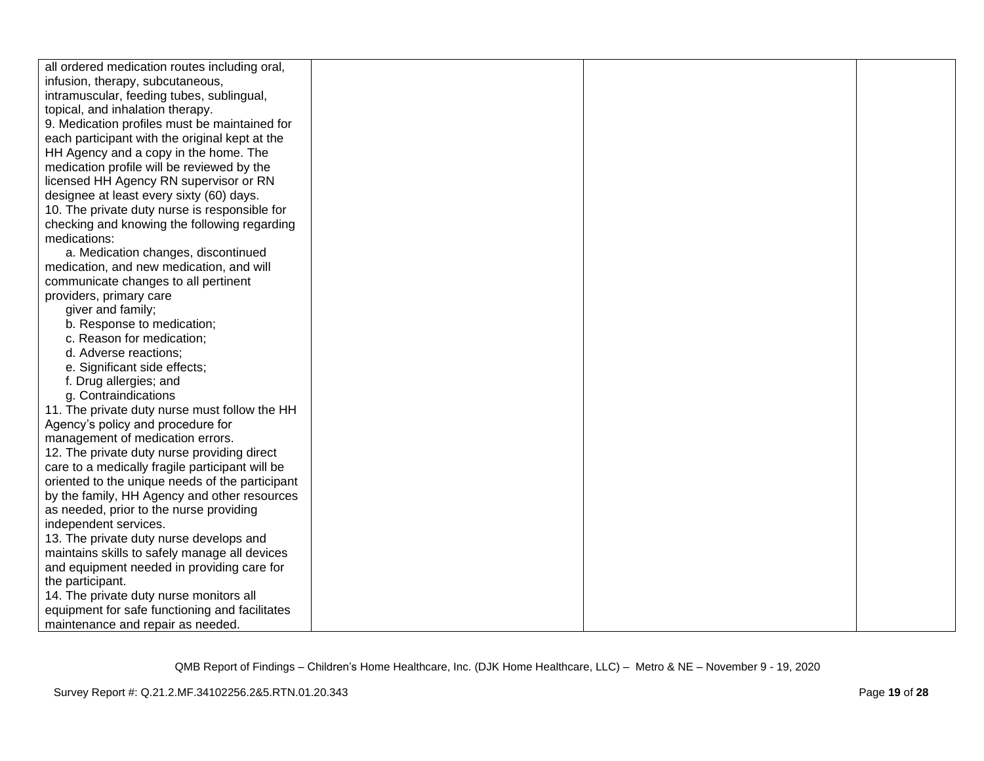| all ordered medication routes including oral,   |  |  |
|-------------------------------------------------|--|--|
| infusion, therapy, subcutaneous,                |  |  |
| intramuscular, feeding tubes, sublingual,       |  |  |
| topical, and inhalation therapy.                |  |  |
| 9. Medication profiles must be maintained for   |  |  |
| each participant with the original kept at the  |  |  |
| HH Agency and a copy in the home. The           |  |  |
| medication profile will be reviewed by the      |  |  |
| licensed HH Agency RN supervisor or RN          |  |  |
| designee at least every sixty (60) days.        |  |  |
| 10. The private duty nurse is responsible for   |  |  |
| checking and knowing the following regarding    |  |  |
| medications:                                    |  |  |
| a. Medication changes, discontinued             |  |  |
| medication, and new medication, and will        |  |  |
| communicate changes to all pertinent            |  |  |
| providers, primary care                         |  |  |
| giver and family;                               |  |  |
| b. Response to medication;                      |  |  |
| c. Reason for medication;                       |  |  |
| d. Adverse reactions;                           |  |  |
| e. Significant side effects;                    |  |  |
| f. Drug allergies; and                          |  |  |
| g. Contraindications                            |  |  |
| 11. The private duty nurse must follow the HH   |  |  |
| Agency's policy and procedure for               |  |  |
| management of medication errors.                |  |  |
| 12. The private duty nurse providing direct     |  |  |
| care to a medically fragile participant will be |  |  |
| oriented to the unique needs of the participant |  |  |
| by the family, HH Agency and other resources    |  |  |
| as needed, prior to the nurse providing         |  |  |
| independent services.                           |  |  |
| 13. The private duty nurse develops and         |  |  |
| maintains skills to safely manage all devices   |  |  |
| and equipment needed in providing care for      |  |  |
| the participant.                                |  |  |
| 14. The private duty nurse monitors all         |  |  |
| equipment for safe functioning and facilitates  |  |  |
| maintenance and repair as needed.               |  |  |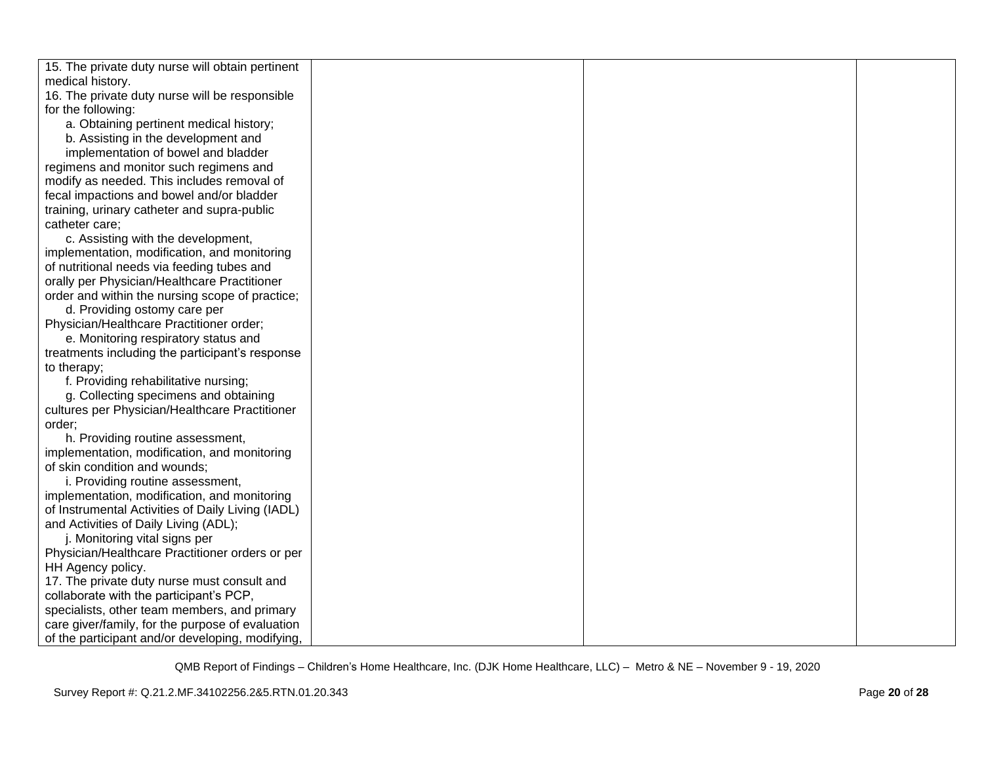| 15. The private duty nurse will obtain pertinent  |  |  |
|---------------------------------------------------|--|--|
| medical history.                                  |  |  |
| 16. The private duty nurse will be responsible    |  |  |
| for the following:                                |  |  |
| a. Obtaining pertinent medical history;           |  |  |
| b. Assisting in the development and               |  |  |
| implementation of bowel and bladder               |  |  |
| regimens and monitor such regimens and            |  |  |
| modify as needed. This includes removal of        |  |  |
| fecal impactions and bowel and/or bladder         |  |  |
| training, urinary catheter and supra-public       |  |  |
| catheter care;                                    |  |  |
| c. Assisting with the development,                |  |  |
| implementation, modification, and monitoring      |  |  |
| of nutritional needs via feeding tubes and        |  |  |
| orally per Physician/Healthcare Practitioner      |  |  |
| order and within the nursing scope of practice;   |  |  |
| d. Providing ostomy care per                      |  |  |
| Physician/Healthcare Practitioner order;          |  |  |
| e. Monitoring respiratory status and              |  |  |
| treatments including the participant's response   |  |  |
| to therapy;                                       |  |  |
| f. Providing rehabilitative nursing;              |  |  |
| g. Collecting specimens and obtaining             |  |  |
| cultures per Physician/Healthcare Practitioner    |  |  |
| order;                                            |  |  |
| h. Providing routine assessment,                  |  |  |
| implementation, modification, and monitoring      |  |  |
| of skin condition and wounds;                     |  |  |
| i. Providing routine assessment,                  |  |  |
| implementation, modification, and monitoring      |  |  |
| of Instrumental Activities of Daily Living (IADL) |  |  |
| and Activities of Daily Living (ADL);             |  |  |
| j. Monitoring vital signs per                     |  |  |
| Physician/Healthcare Practitioner orders or per   |  |  |
| HH Agency policy.                                 |  |  |
| 17. The private duty nurse must consult and       |  |  |
| collaborate with the participant's PCP,           |  |  |
| specialists, other team members, and primary      |  |  |
| care giver/family, for the purpose of evaluation  |  |  |
| of the participant and/or developing, modifying,  |  |  |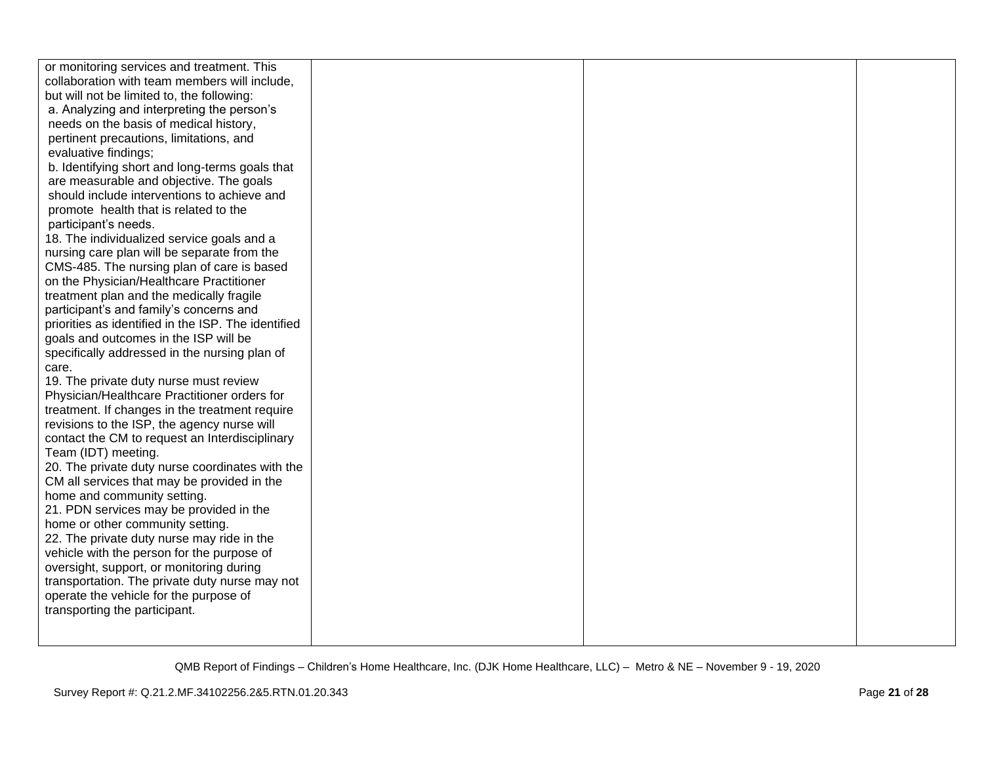| or monitoring services and treatment. This          |  |  |
|-----------------------------------------------------|--|--|
| collaboration with team members will include,       |  |  |
| but will not be limited to, the following:          |  |  |
| a. Analyzing and interpreting the person's          |  |  |
| needs on the basis of medical history,              |  |  |
| pertinent precautions, limitations, and             |  |  |
| evaluative findings;                                |  |  |
| b. Identifying short and long-terms goals that      |  |  |
| are measurable and objective. The goals             |  |  |
| should include interventions to achieve and         |  |  |
| promote health that is related to the               |  |  |
| participant's needs.                                |  |  |
| 18. The individualized service goals and a          |  |  |
| nursing care plan will be separate from the         |  |  |
| CMS-485. The nursing plan of care is based          |  |  |
| on the Physician/Healthcare Practitioner            |  |  |
| treatment plan and the medically fragile            |  |  |
| participant's and family's concerns and             |  |  |
| priorities as identified in the ISP. The identified |  |  |
|                                                     |  |  |
| goals and outcomes in the ISP will be               |  |  |
| specifically addressed in the nursing plan of       |  |  |
| care.                                               |  |  |
| 19. The private duty nurse must review              |  |  |
| Physician/Healthcare Practitioner orders for        |  |  |
| treatment. If changes in the treatment require      |  |  |
| revisions to the ISP, the agency nurse will         |  |  |
| contact the CM to request an Interdisciplinary      |  |  |
| Team (IDT) meeting.                                 |  |  |
| 20. The private duty nurse coordinates with the     |  |  |
| CM all services that may be provided in the         |  |  |
| home and community setting.                         |  |  |
| 21. PDN services may be provided in the             |  |  |
| home or other community setting.                    |  |  |
| 22. The private duty nurse may ride in the          |  |  |
| vehicle with the person for the purpose of          |  |  |
| oversight, support, or monitoring during            |  |  |
| transportation. The private duty nurse may not      |  |  |
| operate the vehicle for the purpose of              |  |  |
| transporting the participant.                       |  |  |
|                                                     |  |  |
|                                                     |  |  |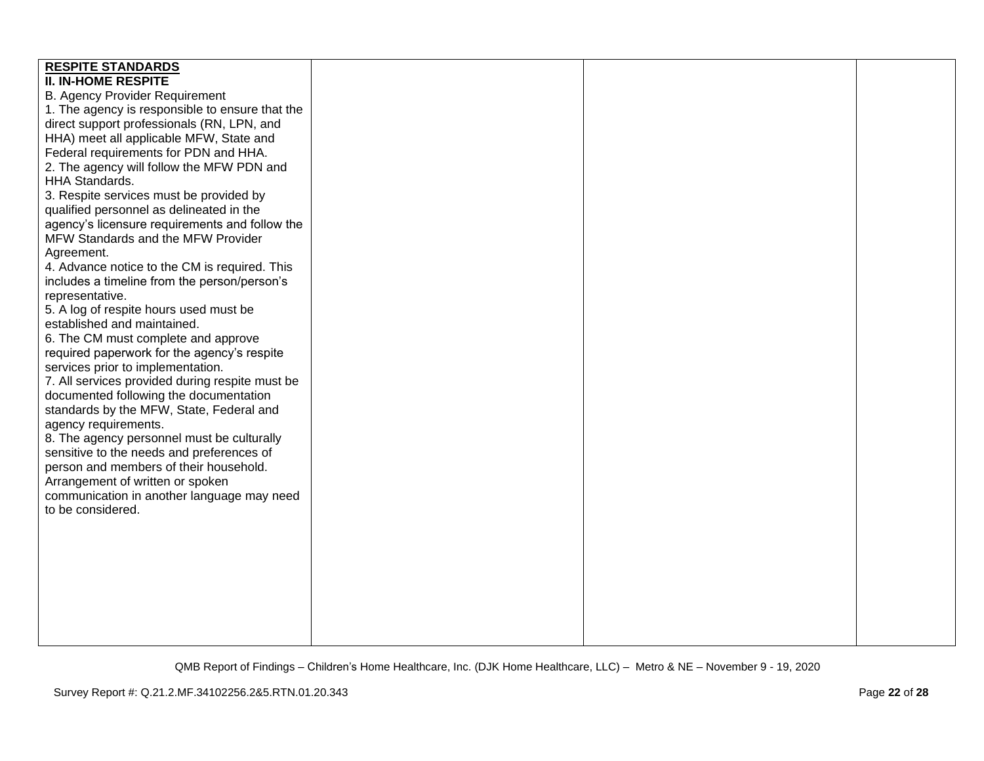| <b>RESPITE STANDARDS</b>                        |  |  |
|-------------------------------------------------|--|--|
| <b>II. IN-HOME RESPITE</b>                      |  |  |
| <b>B. Agency Provider Requirement</b>           |  |  |
| 1. The agency is responsible to ensure that the |  |  |
| direct support professionals (RN, LPN, and      |  |  |
| HHA) meet all applicable MFW, State and         |  |  |
| Federal requirements for PDN and HHA.           |  |  |
| 2. The agency will follow the MFW PDN and       |  |  |
| HHA Standards.                                  |  |  |
| 3. Respite services must be provided by         |  |  |
| qualified personnel as delineated in the        |  |  |
| agency's licensure requirements and follow the  |  |  |
| MFW Standards and the MFW Provider              |  |  |
| Agreement.                                      |  |  |
| 4. Advance notice to the CM is required. This   |  |  |
| includes a timeline from the person/person's    |  |  |
| representative.                                 |  |  |
| 5. A log of respite hours used must be          |  |  |
| established and maintained.                     |  |  |
| 6. The CM must complete and approve             |  |  |
| required paperwork for the agency's respite     |  |  |
| services prior to implementation.               |  |  |
| 7. All services provided during respite must be |  |  |
| documented following the documentation          |  |  |
| standards by the MFW, State, Federal and        |  |  |
| agency requirements.                            |  |  |
| 8. The agency personnel must be culturally      |  |  |
| sensitive to the needs and preferences of       |  |  |
| person and members of their household.          |  |  |
| Arrangement of written or spoken                |  |  |
| communication in another language may need      |  |  |
| to be considered.                               |  |  |
|                                                 |  |  |
|                                                 |  |  |
|                                                 |  |  |
|                                                 |  |  |
|                                                 |  |  |
|                                                 |  |  |
|                                                 |  |  |
|                                                 |  |  |
|                                                 |  |  |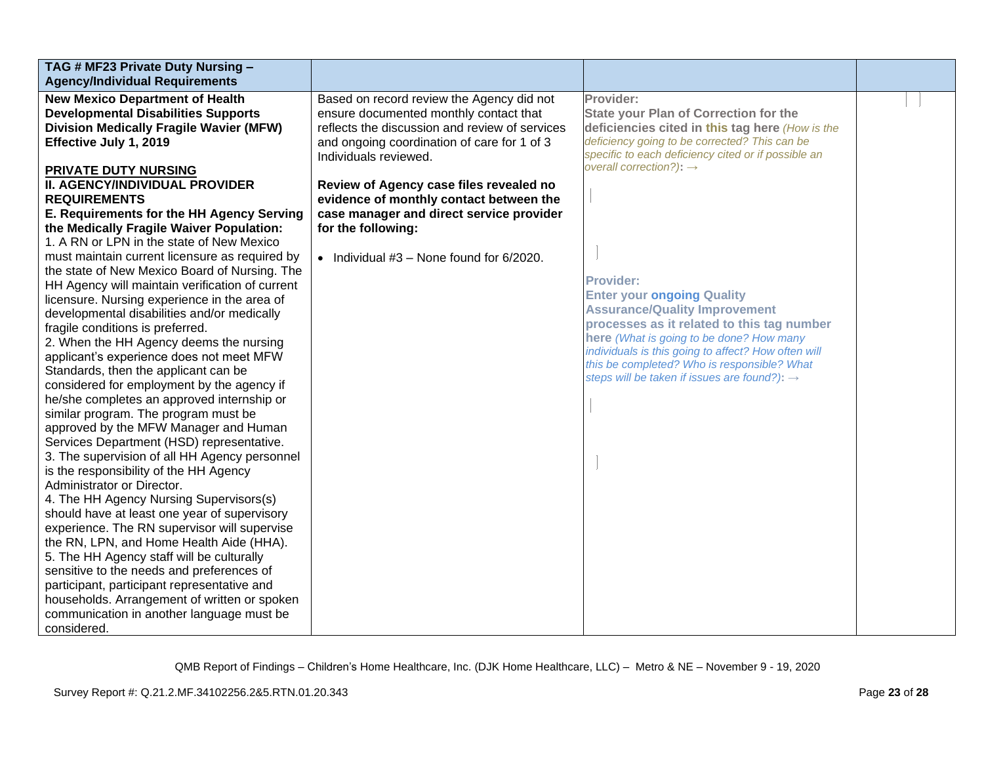| TAG # MF23 Private Duty Nursing -<br><b>Agency/Individual Requirements</b>                                                                                                                                                                                                                                                                                                                                                                                                                                                                                                                                                                                                                                                                                                                                                                                                                                                                                                                                                                                                                                                                                                                                                                                                                                                                                                            |                                                                                                                                                                                                                                |                                                                                                                                                                                                                                                                                                                                                                                                  |  |
|---------------------------------------------------------------------------------------------------------------------------------------------------------------------------------------------------------------------------------------------------------------------------------------------------------------------------------------------------------------------------------------------------------------------------------------------------------------------------------------------------------------------------------------------------------------------------------------------------------------------------------------------------------------------------------------------------------------------------------------------------------------------------------------------------------------------------------------------------------------------------------------------------------------------------------------------------------------------------------------------------------------------------------------------------------------------------------------------------------------------------------------------------------------------------------------------------------------------------------------------------------------------------------------------------------------------------------------------------------------------------------------|--------------------------------------------------------------------------------------------------------------------------------------------------------------------------------------------------------------------------------|--------------------------------------------------------------------------------------------------------------------------------------------------------------------------------------------------------------------------------------------------------------------------------------------------------------------------------------------------------------------------------------------------|--|
| <b>New Mexico Department of Health</b><br><b>Developmental Disabilities Supports</b><br><b>Division Medically Fragile Wavier (MFW)</b><br>Effective July 1, 2019                                                                                                                                                                                                                                                                                                                                                                                                                                                                                                                                                                                                                                                                                                                                                                                                                                                                                                                                                                                                                                                                                                                                                                                                                      | Based on record review the Agency did not<br>ensure documented monthly contact that<br>reflects the discussion and review of services<br>and ongoing coordination of care for 1 of 3                                           | Provider:<br><b>State your Plan of Correction for the</b><br>deficiencies cited in this tag here (How is the<br>deficiency going to be corrected? This can be<br>specific to each deficiency cited or if possible an                                                                                                                                                                             |  |
| PRIVATE DUTY NURSING<br><b>II. AGENCY/INDIVIDUAL PROVIDER</b><br><b>REQUIREMENTS</b><br>E. Requirements for the HH Agency Serving<br>the Medically Fragile Waiver Population:<br>1. A RN or LPN in the state of New Mexico<br>must maintain current licensure as required by<br>the state of New Mexico Board of Nursing. The<br>HH Agency will maintain verification of current<br>licensure. Nursing experience in the area of<br>developmental disabilities and/or medically<br>fragile conditions is preferred.<br>2. When the HH Agency deems the nursing<br>applicant's experience does not meet MFW<br>Standards, then the applicant can be<br>considered for employment by the agency if<br>he/she completes an approved internship or<br>similar program. The program must be<br>approved by the MFW Manager and Human<br>Services Department (HSD) representative.<br>3. The supervision of all HH Agency personnel<br>is the responsibility of the HH Agency<br>Administrator or Director.<br>4. The HH Agency Nursing Supervisors(s)<br>should have at least one year of supervisory<br>experience. The RN supervisor will supervise<br>the RN, LPN, and Home Health Aide (HHA).<br>5. The HH Agency staff will be culturally<br>sensitive to the needs and preferences of<br>participant, participant representative and<br>households. Arrangement of written or spoken | Individuals reviewed.<br>Review of Agency case files revealed no<br>evidence of monthly contact between the<br>case manager and direct service provider<br>for the following:<br>• Individual $#3$ – None found for $6/2020$ . | overall correction?): $\rightarrow$<br><b>Provider:</b><br><b>Enter your ongoing Quality</b><br><b>Assurance/Quality Improvement</b><br>processes as it related to this tag number<br>here (What is going to be done? How many<br>individuals is this going to affect? How often will<br>this be completed? Who is responsible? What<br>steps will be taken if issues are found?): $\rightarrow$ |  |
| communication in another language must be<br>considered.                                                                                                                                                                                                                                                                                                                                                                                                                                                                                                                                                                                                                                                                                                                                                                                                                                                                                                                                                                                                                                                                                                                                                                                                                                                                                                                              |                                                                                                                                                                                                                                |                                                                                                                                                                                                                                                                                                                                                                                                  |  |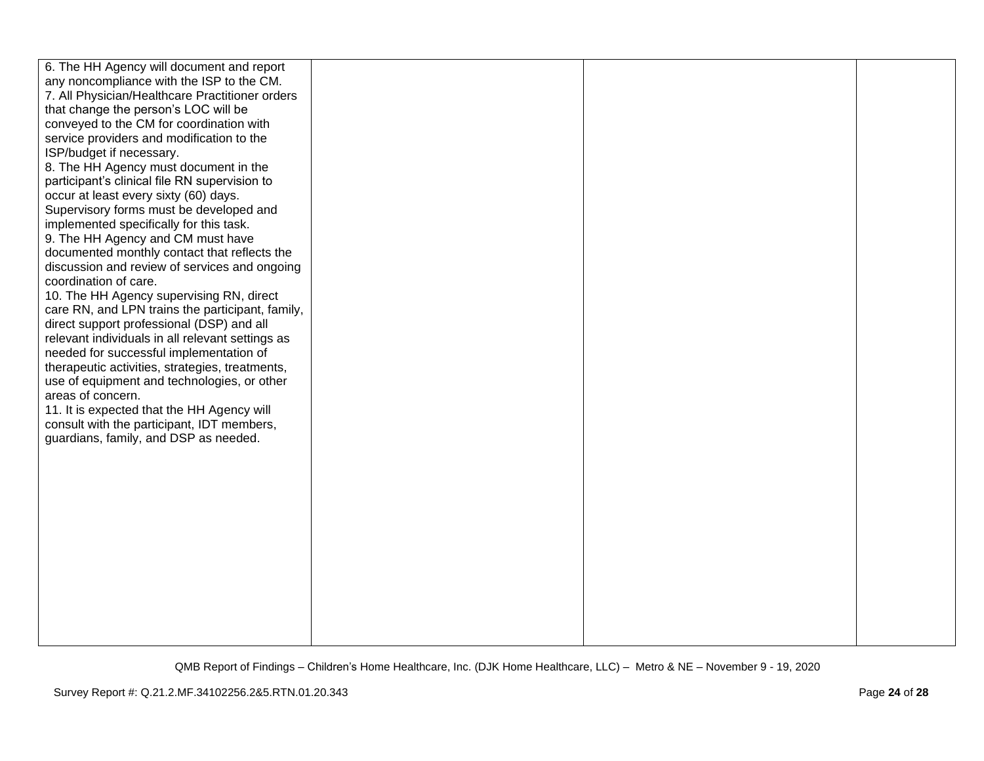| 6. The HH Agency will document and report<br>any noncompliance with the ISP to the CM.<br>7. All Physician/Healthcare Practitioner orders<br>that change the person's LOC will be             |  |  |
|-----------------------------------------------------------------------------------------------------------------------------------------------------------------------------------------------|--|--|
| conveyed to the CM for coordination with<br>service providers and modification to the<br>ISP/budget if necessary.<br>8. The HH Agency must document in the                                    |  |  |
| participant's clinical file RN supervision to<br>occur at least every sixty (60) days.<br>Supervisory forms must be developed and                                                             |  |  |
| implemented specifically for this task.<br>9. The HH Agency and CM must have<br>documented monthly contact that reflects the<br>discussion and review of services and ongoing                 |  |  |
| coordination of care.<br>10. The HH Agency supervising RN, direct<br>care RN, and LPN trains the participant, family,<br>direct support professional (DSP) and all                            |  |  |
| relevant individuals in all relevant settings as<br>needed for successful implementation of<br>therapeutic activities, strategies, treatments,<br>use of equipment and technologies, or other |  |  |
| areas of concern.<br>11. It is expected that the HH Agency will<br>consult with the participant, IDT members,<br>guardians, family, and DSP as needed.                                        |  |  |
|                                                                                                                                                                                               |  |  |
|                                                                                                                                                                                               |  |  |
|                                                                                                                                                                                               |  |  |
|                                                                                                                                                                                               |  |  |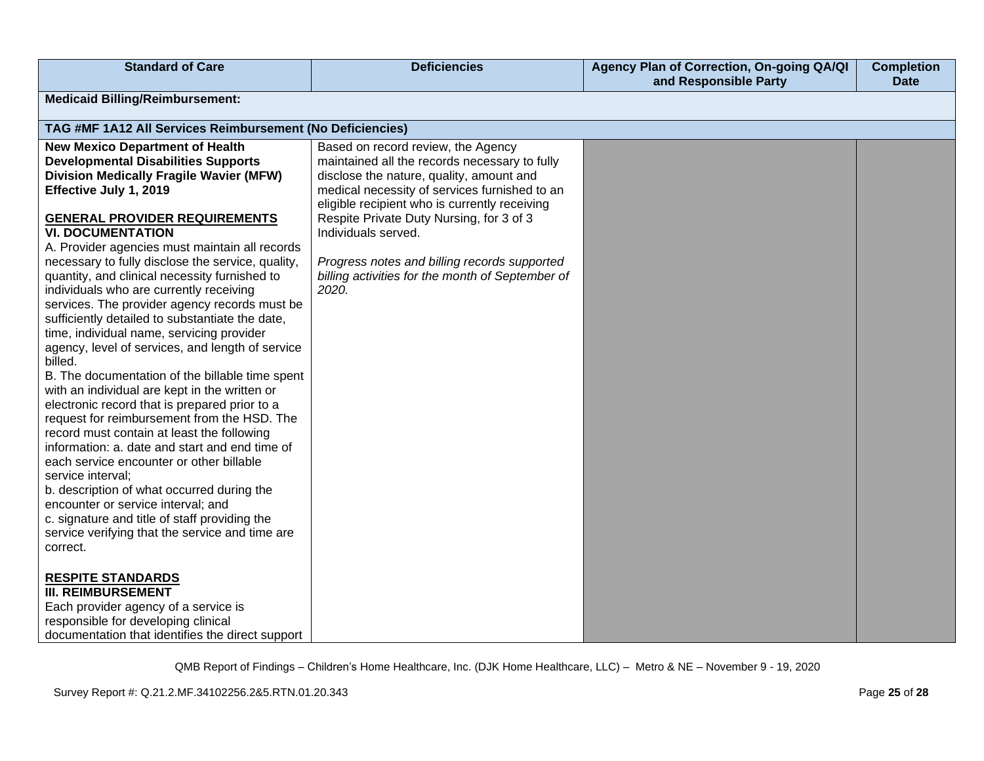| <b>Standard of Care</b>                                                                                                                                                                                                                                                                                                                                                                                                                                                                                                                                                                                                                                                                                                                                                                                                                                                                                                                                                                                                                                                                                                                                                                                                          | <b>Deficiencies</b>                                                                                                                                                                                                                                                                                                                                                                                               | Agency Plan of Correction, On-going QA/QI<br>and Responsible Party | <b>Completion</b><br><b>Date</b> |
|----------------------------------------------------------------------------------------------------------------------------------------------------------------------------------------------------------------------------------------------------------------------------------------------------------------------------------------------------------------------------------------------------------------------------------------------------------------------------------------------------------------------------------------------------------------------------------------------------------------------------------------------------------------------------------------------------------------------------------------------------------------------------------------------------------------------------------------------------------------------------------------------------------------------------------------------------------------------------------------------------------------------------------------------------------------------------------------------------------------------------------------------------------------------------------------------------------------------------------|-------------------------------------------------------------------------------------------------------------------------------------------------------------------------------------------------------------------------------------------------------------------------------------------------------------------------------------------------------------------------------------------------------------------|--------------------------------------------------------------------|----------------------------------|
| <b>Medicaid Billing/Reimbursement:</b>                                                                                                                                                                                                                                                                                                                                                                                                                                                                                                                                                                                                                                                                                                                                                                                                                                                                                                                                                                                                                                                                                                                                                                                           |                                                                                                                                                                                                                                                                                                                                                                                                                   |                                                                    |                                  |
| TAG #MF 1A12 All Services Reimbursement (No Deficiencies)                                                                                                                                                                                                                                                                                                                                                                                                                                                                                                                                                                                                                                                                                                                                                                                                                                                                                                                                                                                                                                                                                                                                                                        |                                                                                                                                                                                                                                                                                                                                                                                                                   |                                                                    |                                  |
| <b>New Mexico Department of Health</b><br><b>Developmental Disabilities Supports</b><br><b>Division Medically Fragile Wavier (MFW)</b><br>Effective July 1, 2019<br><b>GENERAL PROVIDER REQUIREMENTS</b><br><b>VI. DOCUMENTATION</b><br>A. Provider agencies must maintain all records<br>necessary to fully disclose the service, quality,<br>quantity, and clinical necessity furnished to<br>individuals who are currently receiving<br>services. The provider agency records must be<br>sufficiently detailed to substantiate the date,<br>time, individual name, servicing provider<br>agency, level of services, and length of service<br>billed.<br>B. The documentation of the billable time spent<br>with an individual are kept in the written or<br>electronic record that is prepared prior to a<br>request for reimbursement from the HSD. The<br>record must contain at least the following<br>information: a. date and start and end time of<br>each service encounter or other billable<br>service interval;<br>b. description of what occurred during the<br>encounter or service interval; and<br>c. signature and title of staff providing the<br>service verifying that the service and time are<br>correct. | Based on record review, the Agency<br>maintained all the records necessary to fully<br>disclose the nature, quality, amount and<br>medical necessity of services furnished to an<br>eligible recipient who is currently receiving<br>Respite Private Duty Nursing, for 3 of 3<br>Individuals served.<br>Progress notes and billing records supported<br>billing activities for the month of September of<br>2020. |                                                                    |                                  |
| <b>RESPITE STANDARDS</b><br><b>III. REIMBURSEMENT</b><br>Each provider agency of a service is<br>responsible for developing clinical<br>documentation that identifies the direct support                                                                                                                                                                                                                                                                                                                                                                                                                                                                                                                                                                                                                                                                                                                                                                                                                                                                                                                                                                                                                                         |                                                                                                                                                                                                                                                                                                                                                                                                                   |                                                                    |                                  |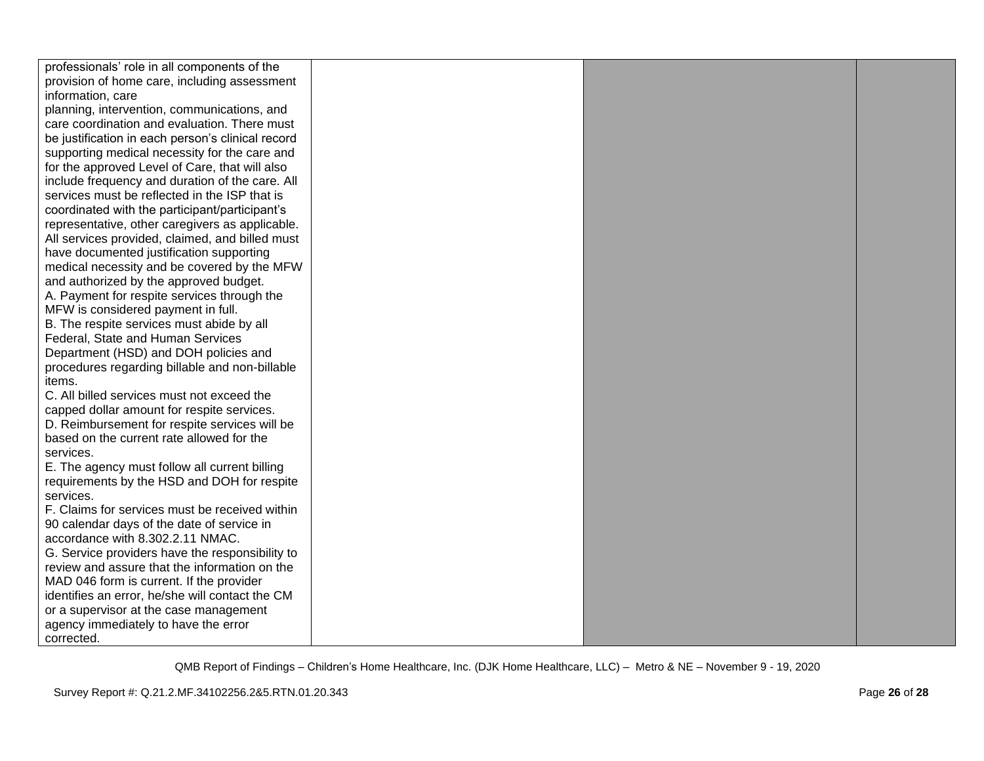| professionals' role in all components of the      |  |  |
|---------------------------------------------------|--|--|
| provision of home care, including assessment      |  |  |
| information, care                                 |  |  |
| planning, intervention, communications, and       |  |  |
| care coordination and evaluation. There must      |  |  |
| be justification in each person's clinical record |  |  |
| supporting medical necessity for the care and     |  |  |
| for the approved Level of Care, that will also    |  |  |
| include frequency and duration of the care. All   |  |  |
| services must be reflected in the ISP that is     |  |  |
| coordinated with the participant/participant's    |  |  |
| representative, other caregivers as applicable.   |  |  |
| All services provided, claimed, and billed must   |  |  |
| have documented justification supporting          |  |  |
| medical necessity and be covered by the MFW       |  |  |
| and authorized by the approved budget.            |  |  |
| A. Payment for respite services through the       |  |  |
| MFW is considered payment in full.                |  |  |
| B. The respite services must abide by all         |  |  |
| Federal, State and Human Services                 |  |  |
| Department (HSD) and DOH policies and             |  |  |
| procedures regarding billable and non-billable    |  |  |
| items.                                            |  |  |
| C. All billed services must not exceed the        |  |  |
| capped dollar amount for respite services.        |  |  |
| D. Reimbursement for respite services will be     |  |  |
| based on the current rate allowed for the         |  |  |
| services.                                         |  |  |
| E. The agency must follow all current billing     |  |  |
| requirements by the HSD and DOH for respite       |  |  |
| services.                                         |  |  |
| F. Claims for services must be received within    |  |  |
| 90 calendar days of the date of service in        |  |  |
| accordance with 8.302.2.11 NMAC.                  |  |  |
| G. Service providers have the responsibility to   |  |  |
| review and assure that the information on the     |  |  |
| MAD 046 form is current. If the provider          |  |  |
| identifies an error, he/she will contact the CM   |  |  |
| or a supervisor at the case management            |  |  |
| agency immediately to have the error              |  |  |
| corrected.                                        |  |  |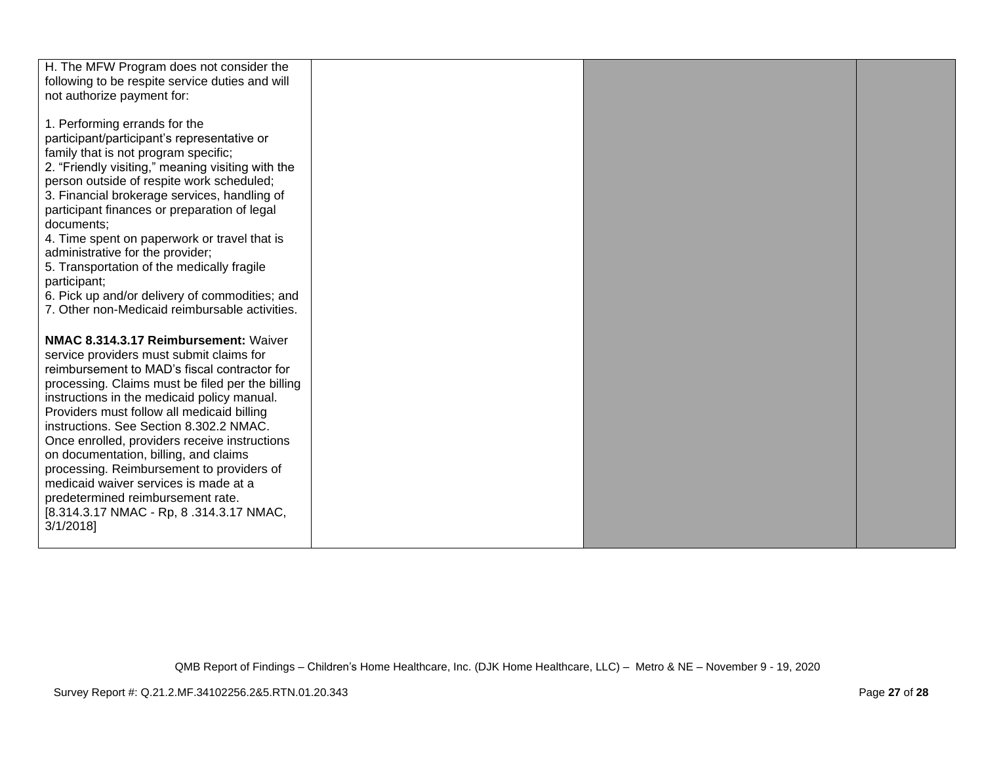| H. The MFW Program does not consider the<br>following to be respite service duties and will<br>not authorize payment for:                                                                                                                                                                                                                                                                                                                                                                                                                          |  |  |
|----------------------------------------------------------------------------------------------------------------------------------------------------------------------------------------------------------------------------------------------------------------------------------------------------------------------------------------------------------------------------------------------------------------------------------------------------------------------------------------------------------------------------------------------------|--|--|
| 1. Performing errands for the<br>participant/participant's representative or<br>family that is not program specific;<br>2. "Friendly visiting," meaning visiting with the<br>person outside of respite work scheduled;<br>3. Financial brokerage services, handling of<br>participant finances or preparation of legal<br>documents:                                                                                                                                                                                                               |  |  |
| 4. Time spent on paperwork or travel that is<br>administrative for the provider;<br>5. Transportation of the medically fragile<br>participant;<br>6. Pick up and/or delivery of commodities; and<br>7. Other non-Medicaid reimbursable activities.                                                                                                                                                                                                                                                                                                 |  |  |
| NMAC 8.314.3.17 Reimbursement: Waiver<br>service providers must submit claims for<br>reimbursement to MAD's fiscal contractor for<br>processing. Claims must be filed per the billing<br>instructions in the medicaid policy manual.<br>Providers must follow all medicaid billing<br>instructions. See Section 8.302.2 NMAC.<br>Once enrolled, providers receive instructions<br>on documentation, billing, and claims<br>processing. Reimbursement to providers of<br>medicaid waiver services is made at a<br>predetermined reimbursement rate. |  |  |
| [8.314.3.17 NMAC - Rp, 8.314.3.17 NMAC,<br>3/1/2018                                                                                                                                                                                                                                                                                                                                                                                                                                                                                                |  |  |